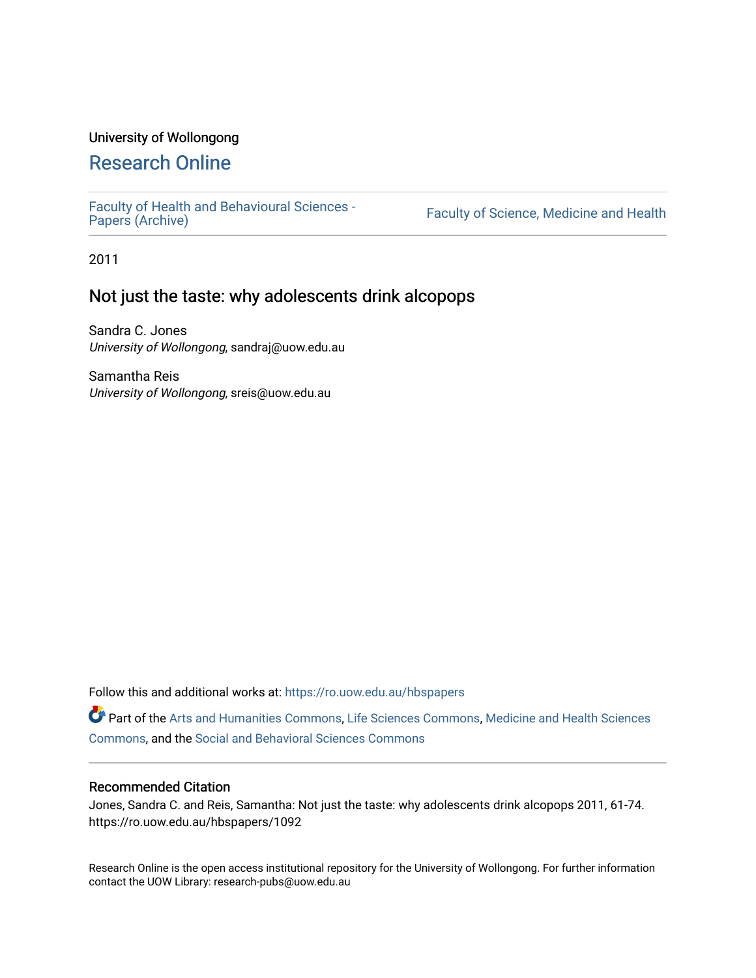#### University of Wollongong

# [Research Online](https://ro.uow.edu.au/)

[Faculty of Health and Behavioural Sciences -](https://ro.uow.edu.au/hbspapers)<br>Papers (Archive)

Faculty of Science, Medicine and Health

2011

# Not just the taste: why adolescents drink alcopops

Sandra C. Jones University of Wollongong, sandraj@uow.edu.au

Samantha Reis University of Wollongong, sreis@uow.edu.au

Follow this and additional works at: [https://ro.uow.edu.au/hbspapers](https://ro.uow.edu.au/hbspapers?utm_source=ro.uow.edu.au%2Fhbspapers%2F1092&utm_medium=PDF&utm_campaign=PDFCoverPages) 

Part of the [Arts and Humanities Commons,](http://network.bepress.com/hgg/discipline/438?utm_source=ro.uow.edu.au%2Fhbspapers%2F1092&utm_medium=PDF&utm_campaign=PDFCoverPages) [Life Sciences Commons,](http://network.bepress.com/hgg/discipline/1016?utm_source=ro.uow.edu.au%2Fhbspapers%2F1092&utm_medium=PDF&utm_campaign=PDFCoverPages) [Medicine and Health Sciences](http://network.bepress.com/hgg/discipline/648?utm_source=ro.uow.edu.au%2Fhbspapers%2F1092&utm_medium=PDF&utm_campaign=PDFCoverPages) [Commons](http://network.bepress.com/hgg/discipline/648?utm_source=ro.uow.edu.au%2Fhbspapers%2F1092&utm_medium=PDF&utm_campaign=PDFCoverPages), and the [Social and Behavioral Sciences Commons](http://network.bepress.com/hgg/discipline/316?utm_source=ro.uow.edu.au%2Fhbspapers%2F1092&utm_medium=PDF&utm_campaign=PDFCoverPages)

#### Recommended Citation

Jones, Sandra C. and Reis, Samantha: Not just the taste: why adolescents drink alcopops 2011, 61-74. https://ro.uow.edu.au/hbspapers/1092

Research Online is the open access institutional repository for the University of Wollongong. For further information contact the UOW Library: research-pubs@uow.edu.au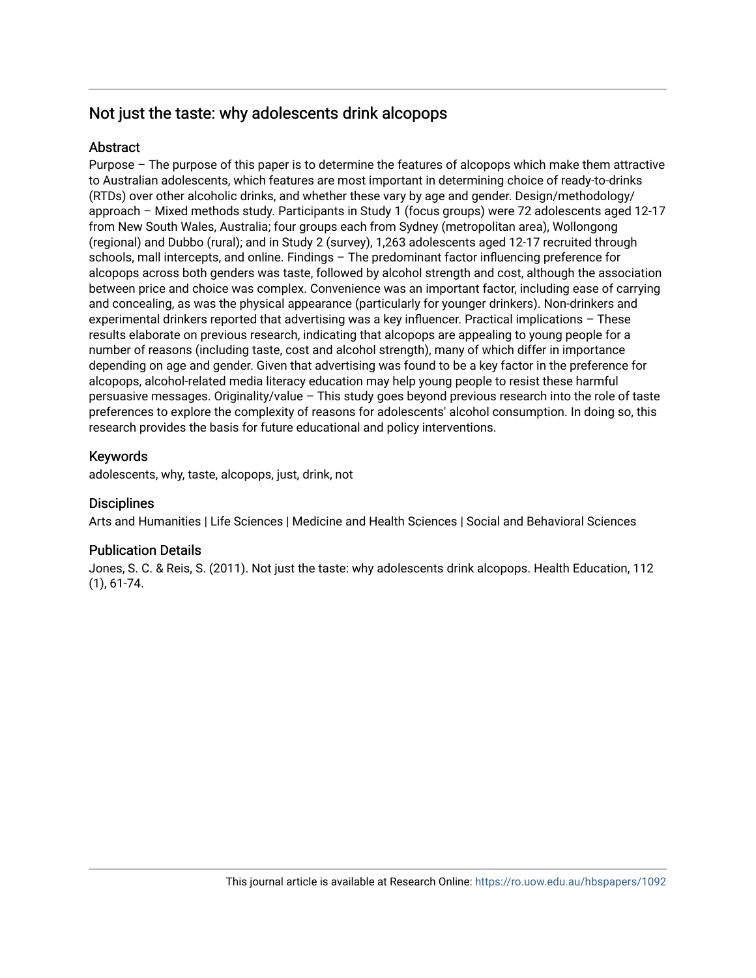# Not just the taste: why adolescents drink alcopops

#### **Abstract**

Purpose – The purpose of this paper is to determine the features of alcopops which make them attractive to Australian adolescents, which features are most important in determining choice of ready-to-drinks (RTDs) over other alcoholic drinks, and whether these vary by age and gender. Design/methodology/ approach – Mixed methods study. Participants in Study 1 (focus groups) were 72 adolescents aged 12-17 from New South Wales, Australia; four groups each from Sydney (metropolitan area), Wollongong (regional) and Dubbo (rural); and in Study 2 (survey), 1,263 adolescents aged 12-17 recruited through schools, mall intercepts, and online. Findings – The predominant factor influencing preference for alcopops across both genders was taste, followed by alcohol strength and cost, although the association between price and choice was complex. Convenience was an important factor, including ease of carrying and concealing, as was the physical appearance (particularly for younger drinkers). Non-drinkers and experimental drinkers reported that advertising was a key influencer. Practical implications – These results elaborate on previous research, indicating that alcopops are appealing to young people for a number of reasons (including taste, cost and alcohol strength), many of which differ in importance depending on age and gender. Given that advertising was found to be a key factor in the preference for alcopops, alcohol-related media literacy education may help young people to resist these harmful persuasive messages. Originality/value – This study goes beyond previous research into the role of taste preferences to explore the complexity of reasons for adolescents' alcohol consumption. In doing so, this research provides the basis for future educational and policy interventions.

#### Keywords

adolescents, why, taste, alcopops, just, drink, not

#### **Disciplines**

Arts and Humanities | Life Sciences | Medicine and Health Sciences | Social and Behavioral Sciences

#### Publication Details

Jones, S. C. & Reis, S. (2011). Not just the taste: why adolescents drink alcopops. Health Education, 112 (1), 61-74.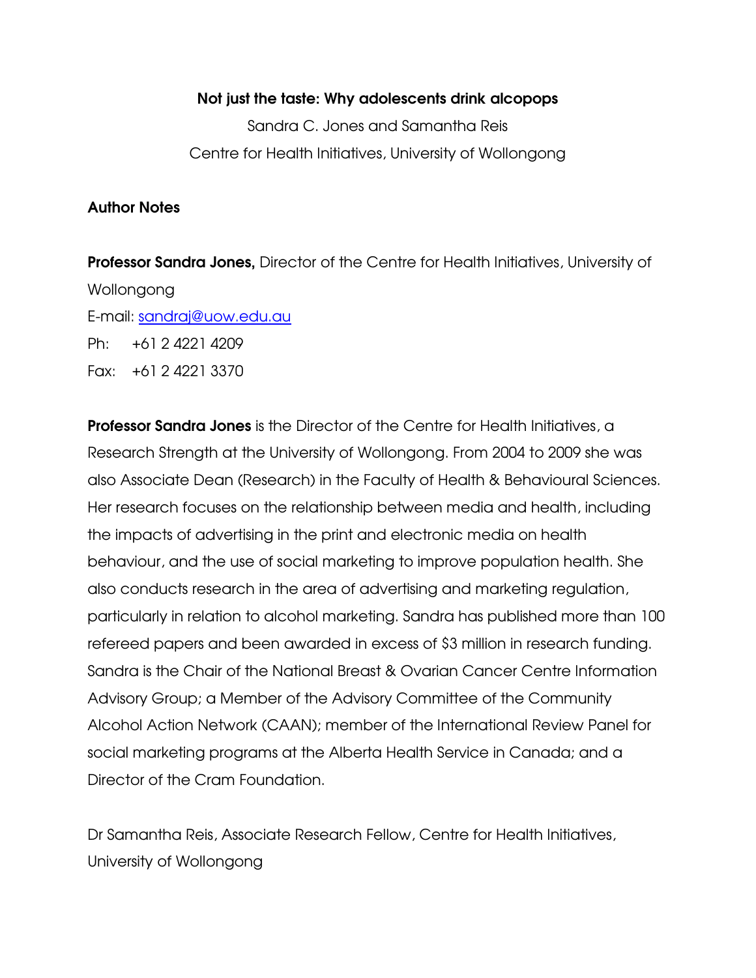#### Not just the taste: Why adolescents drink alcopops

Sandra C. Jones and Samantha Reis Centre for Health Initiatives, University of Wollongong

#### Author Notes

**Professor Sandra Jones, Director of the Centre for Health Initiatives, University of** Wollongong E-mail: sandraj@uow.edu.au Ph: +61 2 4221 4209 Fax: +61 2 4221 3370

**Professor Sandra Jones** is the Director of the Centre for Health Initiatives, a Research Strength at the University of Wollongong. From 2004 to 2009 she was also Associate Dean (Research) in the Faculty of Health & Behavioural Sciences. Her research focuses on the relationship between media and health, including the impacts of advertising in the print and electronic media on health behaviour, and the use of social marketing to improve population health. She also conducts research in the area of advertising and marketing regulation, particularly in relation to alcohol marketing. Sandra has published more than 100 refereed papers and been awarded in excess of \$3 million in research funding. Sandra is the Chair of the National Breast & Ovarian Cancer Centre Information Advisory Group; a Member of the Advisory Committee of the Community Alcohol Action Network (CAAN); member of the International Review Panel for social marketing programs at the Alberta Health Service in Canada; and a Director of the Cram Foundation.

Dr Samantha Reis, Associate Research Fellow, Centre for Health Initiatives, University of Wollongong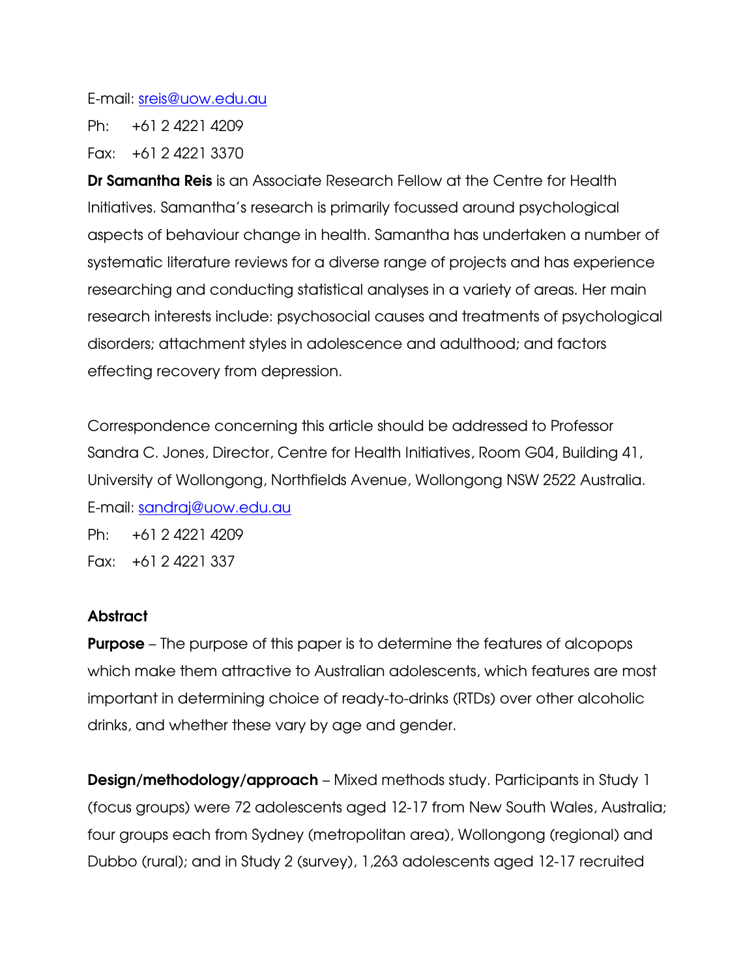#### E-mail: sreis@uow.edu.au

Ph: +61 2 4221 4209

Fax: +61 2 4221 3370

Dr Samantha Reis is an Associate Research Fellow at the Centre for Health Initiatives. Samantha's research is primarily focussed around psychological aspects of behaviour change in health. Samantha has undertaken a number of systematic literature reviews for a diverse range of projects and has experience researching and conducting statistical analyses in a variety of areas. Her main research interests include: psychosocial causes and treatments of psychological disorders; attachment styles in adolescence and adulthood; and factors effecting recovery from depression.

Correspondence concerning this article should be addressed to Professor Sandra C. Jones, Director, Centre for Health Initiatives, Room G04, Building 41, University of Wollongong, Northfields Avenue, Wollongong NSW 2522 Australia. E-mail: sandraj@uow.edu.au

Ph: +61 2 4221 4209 Fax: +61 2 4221 337

# **Abstract**

**Purpose** – The purpose of this paper is to determine the features of alcopops which make them attractive to Australian adolescents, which features are most important in determining choice of ready-to-drinks (RTDs) over other alcoholic drinks, and whether these vary by age and gender.

Design/methodology/approach – Mixed methods study. Participants in Study 1 (focus groups) were 72 adolescents aged 12-17 from New South Wales, Australia; four groups each from Sydney (metropolitan area), Wollongong (regional) and Dubbo (rural); and in Study 2 (survey), 1,263 adolescents aged 12-17 recruited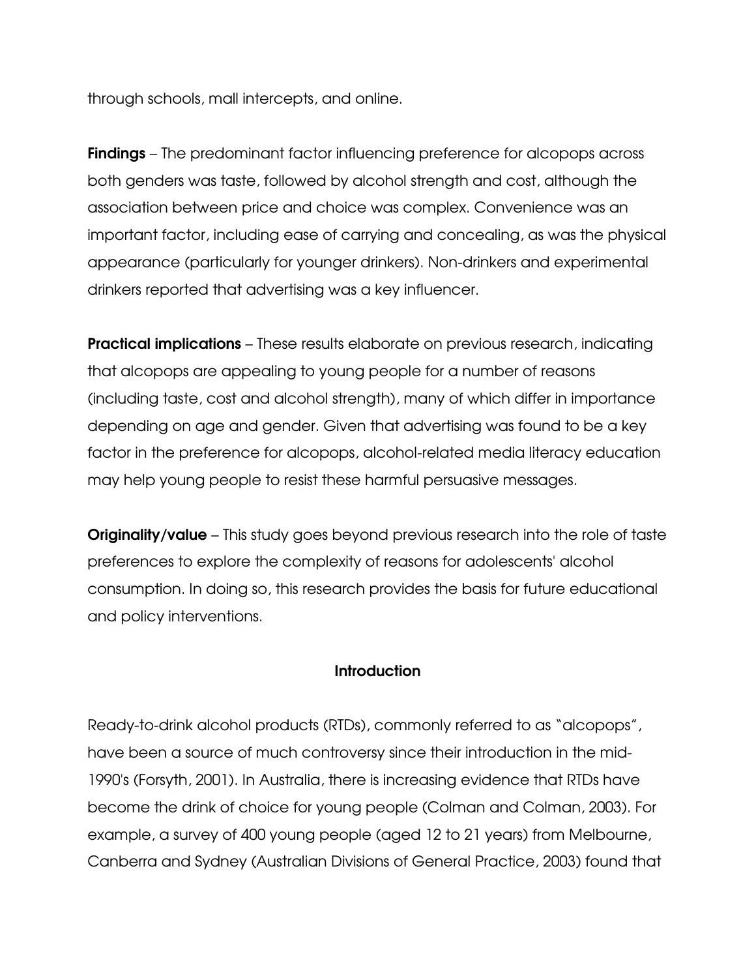through schools, mall intercepts, and online.

**Findings** – The predominant factor influencing preference for alcopops across both genders was taste, followed by alcohol strength and cost, although the association between price and choice was complex. Convenience was an important factor, including ease of carrying and concealing, as was the physical appearance (particularly for younger drinkers). Non-drinkers and experimental drinkers reported that advertising was a key influencer.

**Practical implications** – These results elaborate on previous research, indicating that alcopops are appealing to young people for a number of reasons (including taste, cost and alcohol strength), many of which differ in importance depending on age and gender. Given that advertising was found to be a key factor in the preference for alcopops, alcohol-related media literacy education may help young people to resist these harmful persuasive messages.

**Originality/value** – This study goes beyond previous research into the role of taste preferences to explore the complexity of reasons for adolescents' alcohol consumption. In doing so, this research provides the basis for future educational and policy interventions.

## **Introduction**

Ready-to-drink alcohol products (RTDs), commonly referred to as "alcopops", have been a source of much controversy since their introduction in the mid-1990's (Forsyth, 2001). In Australia, there is increasing evidence that RTDs have become the drink of choice for young people (Colman and Colman, 2003). For example, a survey of 400 young people (aged 12 to 21 years) from Melbourne, Canberra and Sydney (Australian Divisions of General Practice, 2003) found that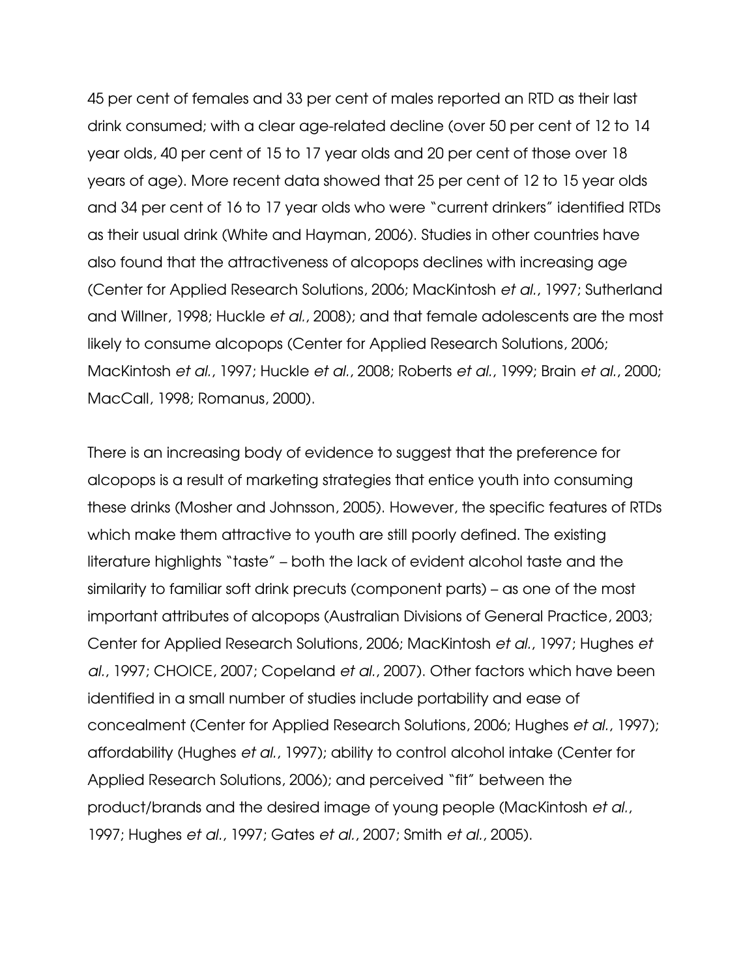45 per cent of females and 33 per cent of males reported an RTD as their last drink consumed; with a clear age-related decline (over 50 per cent of 12 to 14 year olds, 40 per cent of 15 to 17 year olds and 20 per cent of those over 18 years of age). More recent data showed that 25 per cent of 12 to 15 year olds and 34 per cent of 16 to 17 year olds who were "current drinkers" identified RTDs as their usual drink (White and Hayman, 2006). Studies in other countries have also found that the attractiveness of alcopops declines with increasing age (Center for Applied Research Solutions, 2006; MacKintosh et al., 1997; Sutherland and Willner, 1998; Huckle et al., 2008); and that female adolescents are the most likely to consume alcopops (Center for Applied Research Solutions, 2006; MacKintosh et al., 1997; Huckle et al., 2008; Roberts et al., 1999; Brain et al., 2000; MacCall, 1998; Romanus, 2000).

There is an increasing body of evidence to suggest that the preference for alcopops is a result of marketing strategies that entice youth into consuming these drinks (Mosher and Johnsson, 2005). However, the specific features of RTDs which make them attractive to youth are still poorly defined. The existing literature highlights "taste" – both the lack of evident alcohol taste and the similarity to familiar soft drink precuts (component parts) – as one of the most important attributes of alcopops (Australian Divisions of General Practice, 2003; Center for Applied Research Solutions, 2006; MacKintosh et al., 1997; Hughes et al., 1997; CHOICE, 2007; Copeland et al., 2007). Other factors which have been identified in a small number of studies include portability and ease of concealment (Center for Applied Research Solutions, 2006; Hughes et al., 1997); affordability (Hughes et al., 1997); ability to control alcohol intake (Center for Applied Research Solutions, 2006); and perceived "fit" between the product/brands and the desired image of young people (MacKintosh et al., 1997; Hughes et al., 1997; Gates et al., 2007; Smith et al., 2005).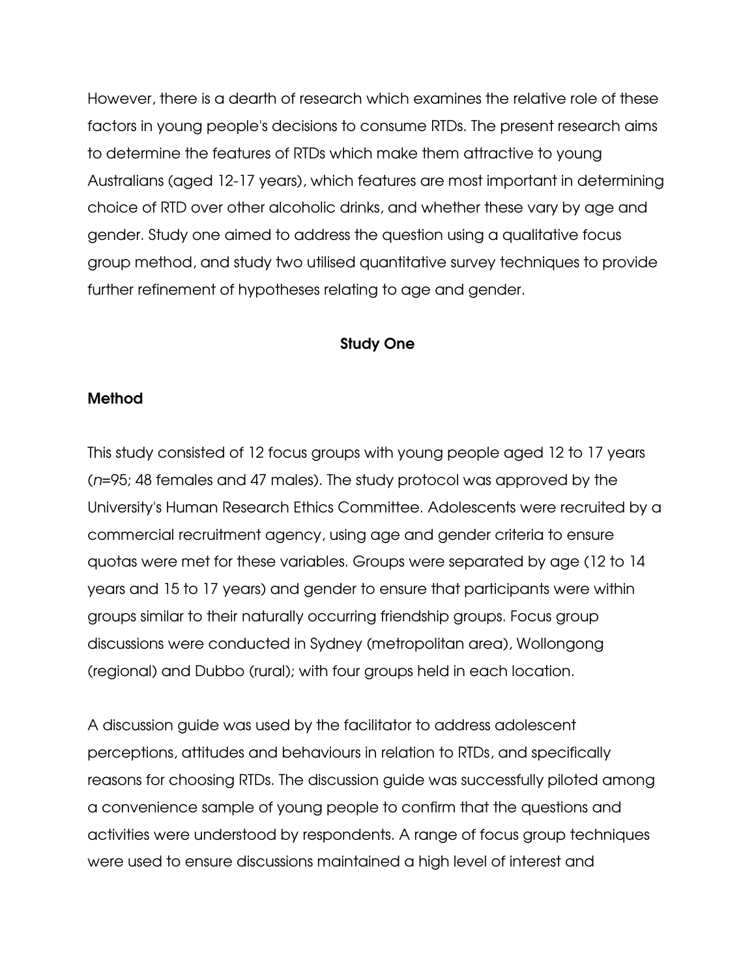However, there is a dearth of research which examines the relative role of these factors in young people's decisions to consume RTDs. The present research aims to determine the features of RTDs which make them attractive to young Australians (aged 12-17 years), which features are most important in determining choice of RTD over other alcoholic drinks, and whether these vary by age and gender. Study one aimed to address the question using a qualitative focus group method, and study two utilised quantitative survey techniques to provide further refinement of hypotheses relating to age and gender.

#### Study One

#### Method

This study consisted of 12 focus groups with young people aged 12 to 17 years (n=95; 48 females and 47 males). The study protocol was approved by the University's Human Research Ethics Committee. Adolescents were recruited by a commercial recruitment agency, using age and gender criteria to ensure quotas were met for these variables. Groups were separated by age (12 to 14 years and 15 to 17 years) and gender to ensure that participants were within groups similar to their naturally occurring friendship groups. Focus group discussions were conducted in Sydney (metropolitan area), Wollongong (regional) and Dubbo (rural); with four groups held in each location.

A discussion guide was used by the facilitator to address adolescent perceptions, attitudes and behaviours in relation to RTDs, and specifically reasons for choosing RTDs. The discussion guide was successfully piloted among a convenience sample of young people to confirm that the questions and activities were understood by respondents. A range of focus group techniques were used to ensure discussions maintained a high level of interest and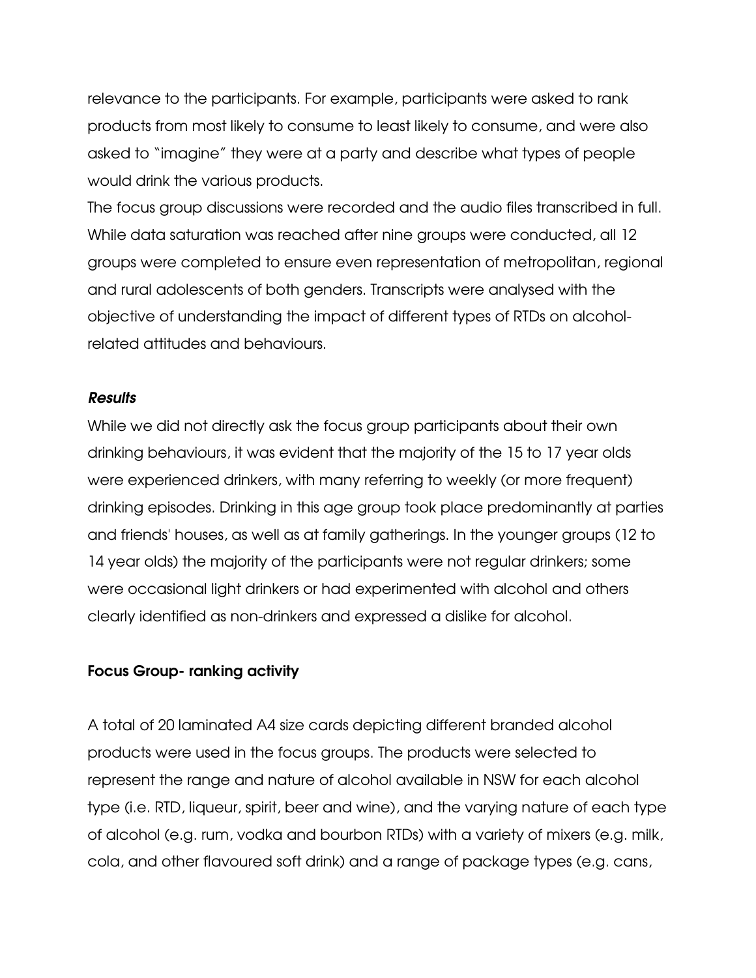relevance to the participants. For example, participants were asked to rank products from most likely to consume to least likely to consume, and were also asked to "imagine" they were at a party and describe what types of people would drink the various products.

The focus group discussions were recorded and the audio files transcribed in full. While data saturation was reached after nine groups were conducted, all 12 groups were completed to ensure even representation of metropolitan, regional and rural adolescents of both genders. Transcripts were analysed with the objective of understanding the impact of different types of RTDs on alcoholrelated attitudes and behaviours.

#### **Results**

While we did not directly ask the focus group participants about their own drinking behaviours, it was evident that the majority of the 15 to 17 year olds were experienced drinkers, with many referring to weekly (or more frequent) drinking episodes. Drinking in this age group took place predominantly at parties and friends' houses, as well as at family gatherings. In the younger groups (12 to 14 year olds) the majority of the participants were not regular drinkers; some were occasional light drinkers or had experimented with alcohol and others clearly identified as non-drinkers and expressed a dislike for alcohol.

## Focus Group- ranking activity

A total of 20 laminated A4 size cards depicting different branded alcohol products were used in the focus groups. The products were selected to represent the range and nature of alcohol available in NSW for each alcohol type (i.e. RTD, liqueur, spirit, beer and wine), and the varying nature of each type of alcohol (e.g. rum, vodka and bourbon RTDs) with a variety of mixers (e.g. milk, cola, and other flavoured soft drink) and a range of package types (e.g. cans,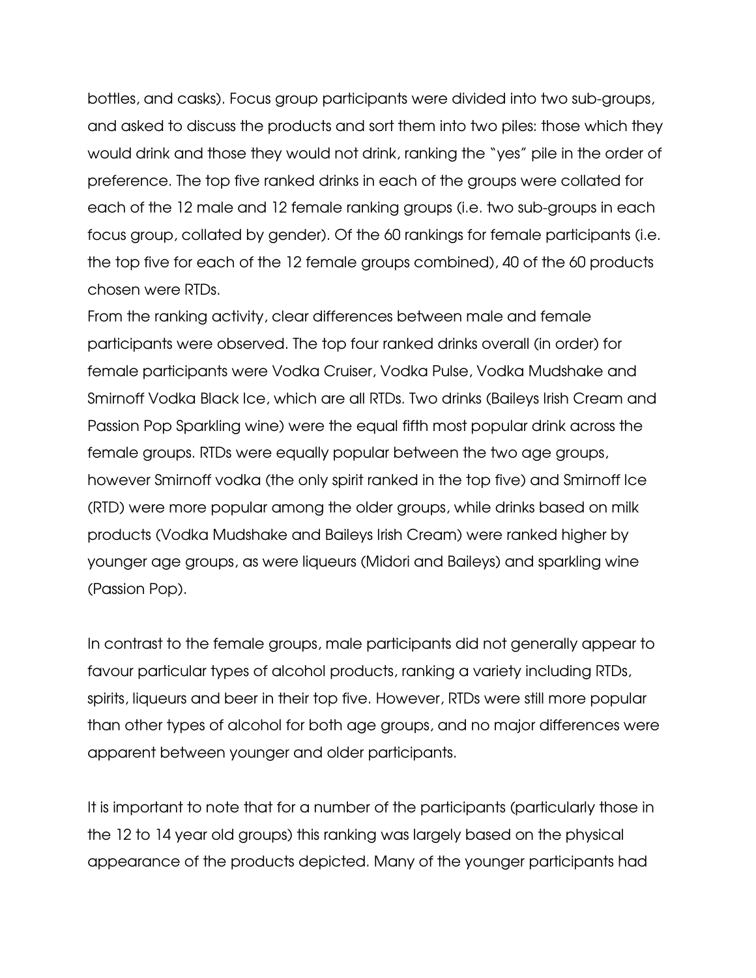bottles, and casks). Focus group participants were divided into two sub-groups, and asked to discuss the products and sort them into two piles: those which they would drink and those they would not drink, ranking the "yes" pile in the order of preference. The top five ranked drinks in each of the groups were collated for each of the 12 male and 12 female ranking groups (i.e. two sub-groups in each focus group, collated by gender). Of the 60 rankings for female participants (i.e. the top five for each of the 12 female groups combined), 40 of the 60 products chosen were RTDs.

From the ranking activity, clear differences between male and female participants were observed. The top four ranked drinks overall (in order) for female participants were Vodka Cruiser, Vodka Pulse, Vodka Mudshake and Smirnoff Vodka Black Ice, which are all RTDs. Two drinks (Baileys Irish Cream and Passion Pop Sparkling wine) were the equal fifth most popular drink across the female groups. RTDs were equally popular between the two age groups, however Smirnoff vodka (the only spirit ranked in the top five) and Smirnoff Ice (RTD) were more popular among the older groups, while drinks based on milk products (Vodka Mudshake and Baileys Irish Cream) were ranked higher by younger age groups, as were liqueurs (Midori and Baileys) and sparkling wine (Passion Pop).

In contrast to the female groups, male participants did not generally appear to favour particular types of alcohol products, ranking a variety including RTDs, spirits, liqueurs and beer in their top five. However, RTDs were still more popular than other types of alcohol for both age groups, and no major differences were apparent between younger and older participants.

It is important to note that for a number of the participants (particularly those in the 12 to 14 year old groups) this ranking was largely based on the physical appearance of the products depicted. Many of the younger participants had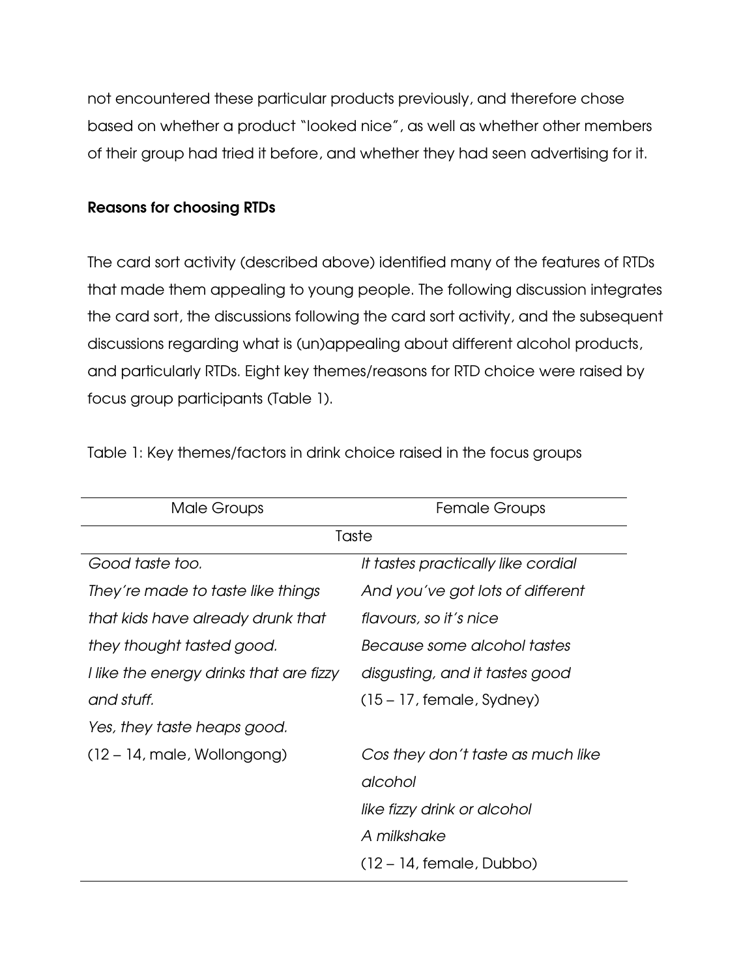not encountered these particular products previously, and therefore chose based on whether a product "looked nice", as well as whether other members of their group had tried it before, and whether they had seen advertising for it.

## Reasons for choosing RTDs

The card sort activity (described above) identified many of the features of RTDs that made them appealing to young people. The following discussion integrates the card sort, the discussions following the card sort activity, and the subsequent discussions regarding what is (un)appealing about different alcohol products, and particularly RTDs. Eight key themes/reasons for RTD choice were raised by focus group participants (Table 1).

| Male Groups                             | <b>Female Groups</b>               |  |  |  |
|-----------------------------------------|------------------------------------|--|--|--|
|                                         | Taste                              |  |  |  |
| Good taste too.                         | It tastes practically like cordial |  |  |  |
| They're made to taste like things       | And you've got lots of different   |  |  |  |
| that kids have already drunk that       | flavours, so it's nice             |  |  |  |
| they thought tasted good.               | Because some alcohol tastes        |  |  |  |
| I like the energy drinks that are fizzy | disgusting, and it tastes good     |  |  |  |
| and stuff.                              | $(15 - 17,$ female, Sydney)        |  |  |  |
| Yes, they taste heaps good.             |                                    |  |  |  |
| $(12 - 14,$ male, Wollongong)           | Cos they don't taste as much like  |  |  |  |
|                                         | alcohol                            |  |  |  |
|                                         | like fizzy drink or alcohol        |  |  |  |
|                                         | A milkshake                        |  |  |  |
|                                         | $(12 - 14,$ female, Dubbo)         |  |  |  |

Table 1: Key themes/factors in drink choice raised in the focus groups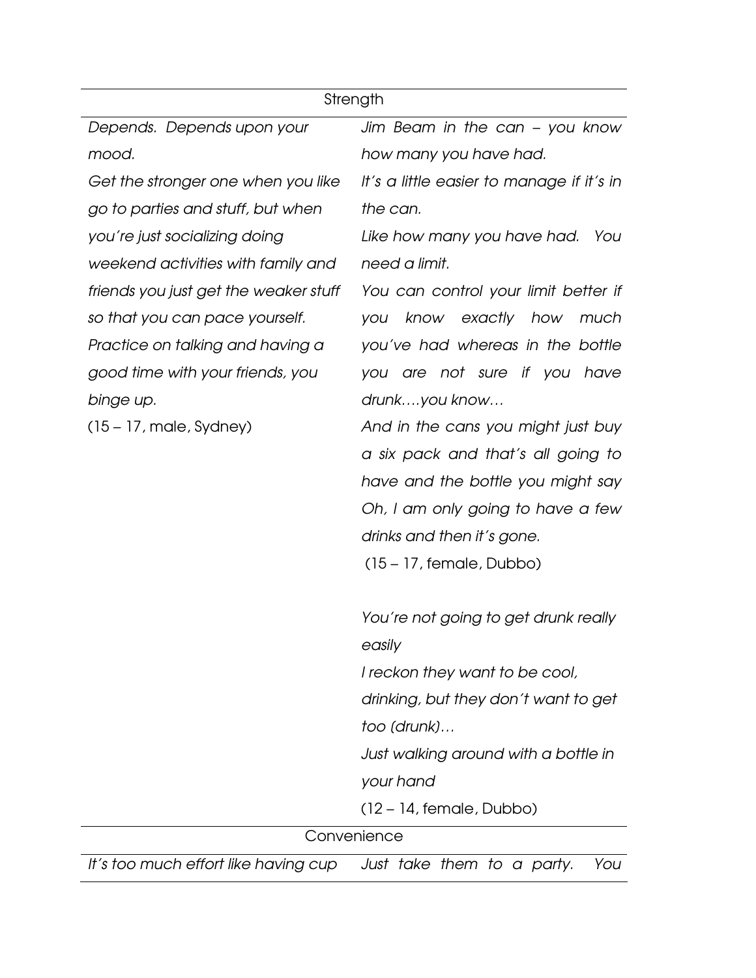|                                       | Strength                                  |  |  |  |  |  |  |
|---------------------------------------|-------------------------------------------|--|--|--|--|--|--|
| Depends. Depends upon your            | Jim Beam in the can - you know            |  |  |  |  |  |  |
| mood.                                 | how many you have had.                    |  |  |  |  |  |  |
| Get the stronger one when you like    | It's a little easier to manage if it's in |  |  |  |  |  |  |
| go to parties and stuff, but when     | the can.                                  |  |  |  |  |  |  |
| you're just socializing doing         | Like how many you have had.<br>- You      |  |  |  |  |  |  |
| weekend activities with family and    | need a limit.                             |  |  |  |  |  |  |
| friends you just get the weaker stuff | You can control your limit better if      |  |  |  |  |  |  |
| so that you can pace yourself.        | know exactly how<br>much<br>you           |  |  |  |  |  |  |
| Practice on talking and having a      | you've had whereas in the bottle          |  |  |  |  |  |  |
| good time with your friends, you      | you are not sure if you have              |  |  |  |  |  |  |
| binge up.                             | drunkyou know                             |  |  |  |  |  |  |
| $(15 - 17,$ male, Sydney)             | And in the cans you might just buy        |  |  |  |  |  |  |
|                                       | a six pack and that's all going to        |  |  |  |  |  |  |
|                                       | have and the bottle you might say         |  |  |  |  |  |  |
|                                       | Oh, I am only going to have a few         |  |  |  |  |  |  |
|                                       | drinks and then it's gone.                |  |  |  |  |  |  |
|                                       | $(15 - 17,$ female, Dubbo)                |  |  |  |  |  |  |
|                                       | You're not going to get drunk really      |  |  |  |  |  |  |
|                                       | easily                                    |  |  |  |  |  |  |
|                                       | I reckon they want to be cool,            |  |  |  |  |  |  |
|                                       | drinking, but they don't want to get      |  |  |  |  |  |  |
|                                       | too (drunk)                               |  |  |  |  |  |  |
|                                       | Just walking around with a bottle in      |  |  |  |  |  |  |
|                                       | your hand                                 |  |  |  |  |  |  |
|                                       | $(12 - 14,$ female, Dubbo)                |  |  |  |  |  |  |
|                                       | Convenience                               |  |  |  |  |  |  |
| It's too much effort like having cup  | You<br>Just take them to a party.         |  |  |  |  |  |  |
|                                       |                                           |  |  |  |  |  |  |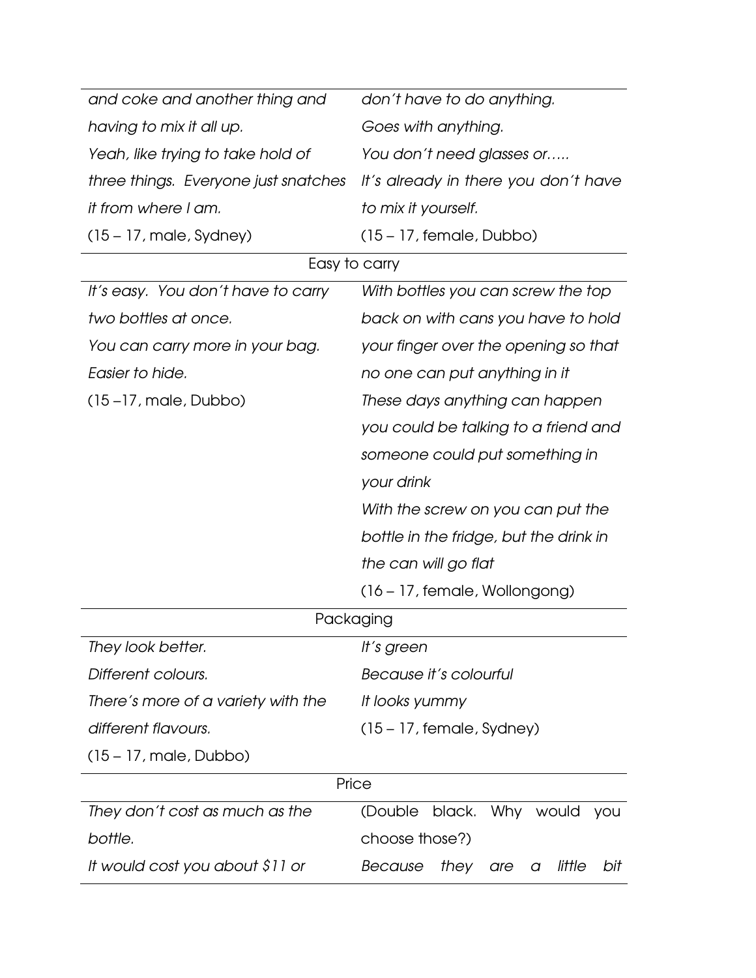| and coke and another thing and       | don't have to do anything.                   |  |  |  |  |  |  |
|--------------------------------------|----------------------------------------------|--|--|--|--|--|--|
| having to mix it all up.             | Goes with anything.                          |  |  |  |  |  |  |
| Yeah, like trying to take hold of    | You don't need glasses or                    |  |  |  |  |  |  |
| three things. Everyone just snatches | It's already in there you don't have         |  |  |  |  |  |  |
| it from where I am.                  | to mix it yourself.                          |  |  |  |  |  |  |
| $(15 - 17,$ male, Sydney)            | $(15 - 17,$ female, Dubbo)                   |  |  |  |  |  |  |
|                                      | Easy to carry                                |  |  |  |  |  |  |
| It's easy. You don't have to carry   | With bottles you can screw the top           |  |  |  |  |  |  |
| two bottles at once.                 | back on with cans you have to hold           |  |  |  |  |  |  |
| You can carry more in your bag.      | your finger over the opening so that         |  |  |  |  |  |  |
| Easier to hide.                      | no one can put anything in it                |  |  |  |  |  |  |
| $(15-17,$ male, Dubbo)               | These days anything can happen               |  |  |  |  |  |  |
|                                      | you could be talking to a friend and         |  |  |  |  |  |  |
|                                      | someone could put something in               |  |  |  |  |  |  |
|                                      | your drink                                   |  |  |  |  |  |  |
|                                      | With the screw on you can put the            |  |  |  |  |  |  |
|                                      | bottle in the fridge, but the drink in       |  |  |  |  |  |  |
|                                      | the can will go flat                         |  |  |  |  |  |  |
|                                      | $(16 - 17,$ female, Wollongong)              |  |  |  |  |  |  |
|                                      | Packaging                                    |  |  |  |  |  |  |
| They look better.                    | It's green                                   |  |  |  |  |  |  |
| Different colours.                   | Because it's colourful                       |  |  |  |  |  |  |
| There's more of a variety with the   | It looks yummy                               |  |  |  |  |  |  |
| different flavours.                  | $(15 - 17,$ female, Sydney)                  |  |  |  |  |  |  |
| $(15 - 17,$ male, Dubbo)             |                                              |  |  |  |  |  |  |
|                                      | Price                                        |  |  |  |  |  |  |
| They don't cost as much as the       | black. Why would<br>(Double)<br>you          |  |  |  |  |  |  |
| bottle.                              | choose those?)                               |  |  |  |  |  |  |
| It would cost you about \$11 or      | little<br>Because<br>they<br>bit<br>are<br>a |  |  |  |  |  |  |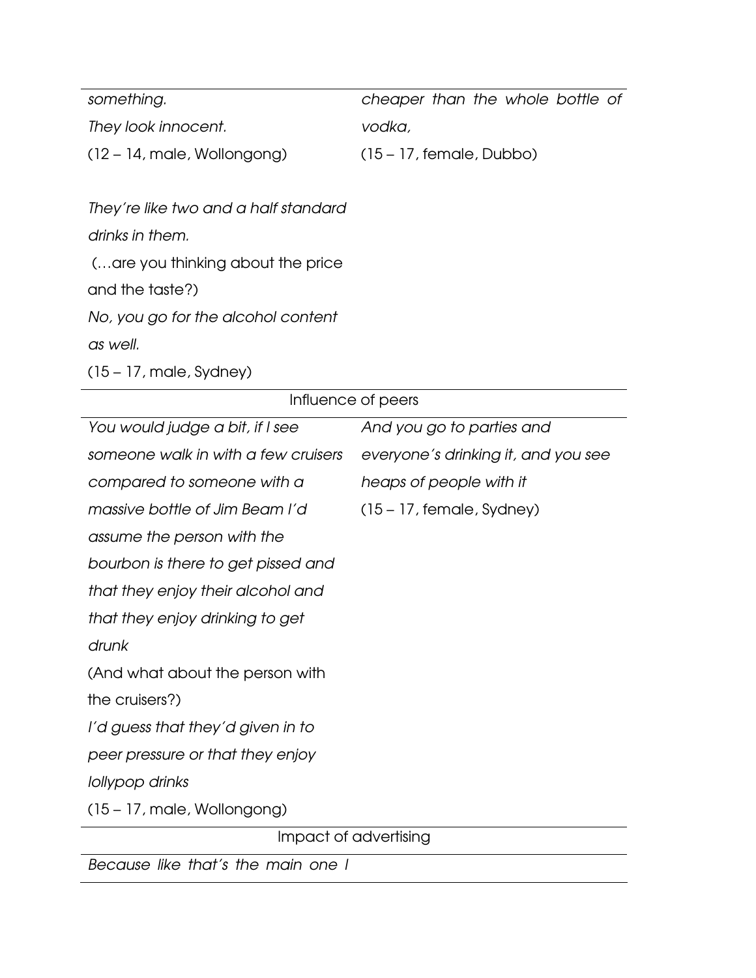| something.                    | cheaper than the whole bottle of |
|-------------------------------|----------------------------------|
| They look innocent.           | vodka,                           |
| $(12 - 14,$ male, Wollongong) | $(15 - 17,$ female, Dubbo)       |

They're like two and a half standard drinks in them. (…are you thinking about the price and the taste?) No, you go for the alcohol content

as well.

(15 – 17, male, Sydney)

| Influence of peers                  |                                     |  |  |  |  |
|-------------------------------------|-------------------------------------|--|--|--|--|
| You would judge a bit, if I see     | And you go to parties and           |  |  |  |  |
| someone walk in with a few cruisers | everyone's drinking it, and you see |  |  |  |  |
| compared to someone with a          | heaps of people with it             |  |  |  |  |
| massive bottle of Jim Beam I'd      | $(15 - 17,$ female, Sydney)         |  |  |  |  |
| assume the person with the          |                                     |  |  |  |  |
| bourbon is there to get pissed and  |                                     |  |  |  |  |
| that they enjoy their alcohol and   |                                     |  |  |  |  |
| that they enjoy drinking to get     |                                     |  |  |  |  |
| drunk                               |                                     |  |  |  |  |
| (And what about the person with     |                                     |  |  |  |  |
| the cruisers?)                      |                                     |  |  |  |  |
| I'd guess that they'd given in to   |                                     |  |  |  |  |
| peer pressure or that they enjoy    |                                     |  |  |  |  |
| lollypop drinks                     |                                     |  |  |  |  |
| $(15 - 17,$ male, Wollongong)       |                                     |  |  |  |  |
| Impact of advertising               |                                     |  |  |  |  |
| Because like that's the main one I  |                                     |  |  |  |  |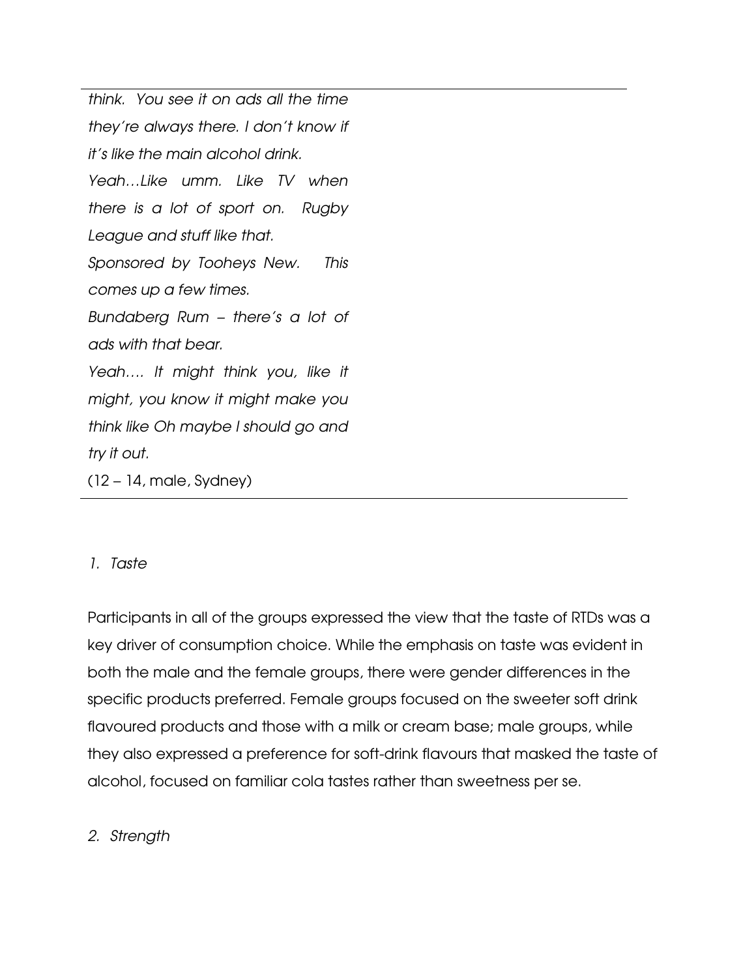```
think. You see it on ads all the time 
they're always there. I don't know if 
it's like the main alcohol drink. 
Yeah…Like umm. Like TV when 
there is a lot of sport on. Rugby 
League and stuff like that. 
Sponsored by Tooheys New. This 
comes up a few times. 
Bundaberg Rum – there's a lot of 
ads with that bear. 
Yeah…. It might think you, like it 
might, you know it might make you 
think like Oh maybe I should go and 
try it out. 
(12 - 14, male, Sydney)
```
## 1. Taste

Participants in all of the groups expressed the view that the taste of RTDs was a key driver of consumption choice. While the emphasis on taste was evident in both the male and the female groups, there were gender differences in the specific products preferred. Female groups focused on the sweeter soft drink flavoured products and those with a milk or cream base; male groups, while they also expressed a preference for soft-drink flavours that masked the taste of alcohol, focused on familiar cola tastes rather than sweetness per se.

## 2. Strength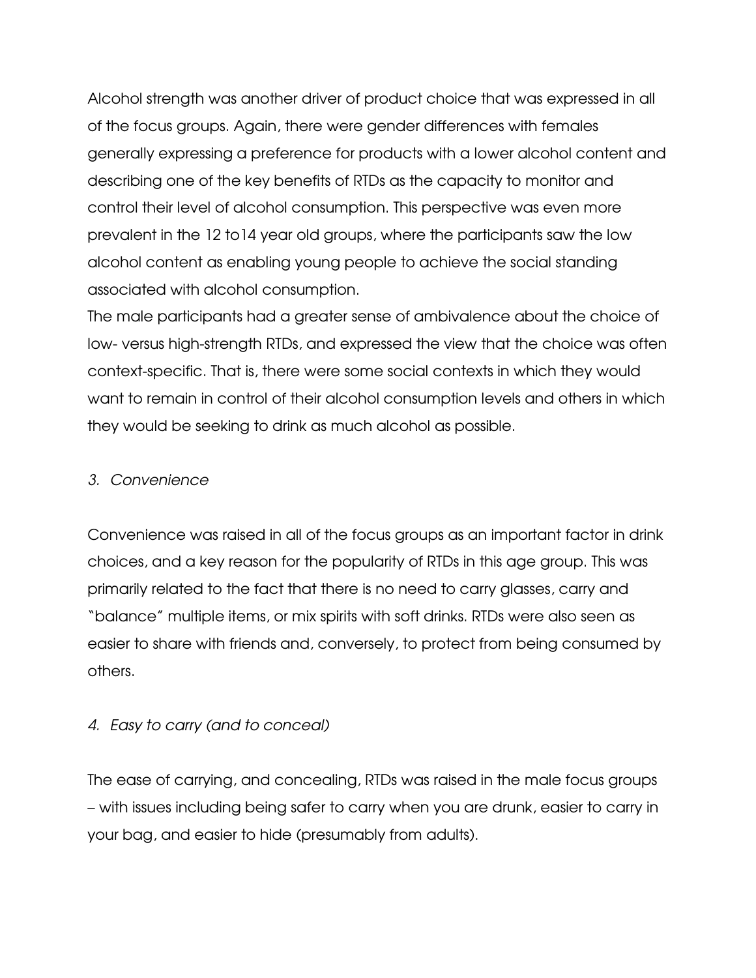Alcohol strength was another driver of product choice that was expressed in all of the focus groups. Again, there were gender differences with females generally expressing a preference for products with a lower alcohol content and describing one of the key benefits of RTDs as the capacity to monitor and control their level of alcohol consumption. This perspective was even more prevalent in the 12 to14 year old groups, where the participants saw the low alcohol content as enabling young people to achieve the social standing associated with alcohol consumption.

The male participants had a greater sense of ambivalence about the choice of low- versus high-strength RTDs, and expressed the view that the choice was often context-specific. That is, there were some social contexts in which they would want to remain in control of their alcohol consumption levels and others in which they would be seeking to drink as much alcohol as possible.

# 3. Convenience

Convenience was raised in all of the focus groups as an important factor in drink choices, and a key reason for the popularity of RTDs in this age group. This was primarily related to the fact that there is no need to carry glasses, carry and "balance" multiple items, or mix spirits with soft drinks. RTDs were also seen as easier to share with friends and, conversely, to protect from being consumed by others.

# 4. Easy to carry (and to conceal)

The ease of carrying, and concealing, RTDs was raised in the male focus groups – with issues including being safer to carry when you are drunk, easier to carry in your bag, and easier to hide (presumably from adults).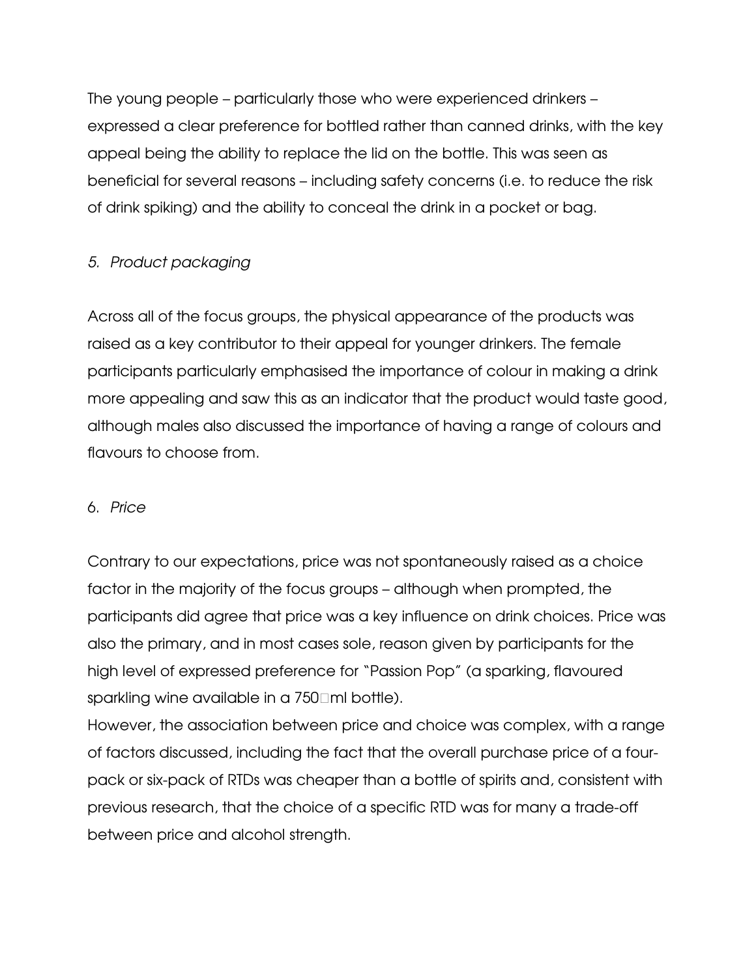The young people – particularly those who were experienced drinkers – expressed a clear preference for bottled rather than canned drinks, with the key appeal being the ability to replace the lid on the bottle. This was seen as beneficial for several reasons – including safety concerns (i.e. to reduce the risk of drink spiking) and the ability to conceal the drink in a pocket or bag.

# 5. Product packaging

Across all of the focus groups, the physical appearance of the products was raised as a key contributor to their appeal for younger drinkers. The female participants particularly emphasised the importance of colour in making a drink more appealing and saw this as an indicator that the product would taste good, although males also discussed the importance of having a range of colours and flavours to choose from.

# 6. Price

Contrary to our expectations, price was not spontaneously raised as a choice factor in the majority of the focus groups – although when prompted, the participants did agree that price was a key influence on drink choices. Price was also the primary, and in most cases sole, reason given by participants for the high level of expressed preference for "Passion Pop" (a sparking, flavoured sparkling wine available in a 750 ml bottle).

However, the association between price and choice was complex, with a range of factors discussed, including the fact that the overall purchase price of a fourpack or six-pack of RTDs was cheaper than a bottle of spirits and, consistent with previous research, that the choice of a specific RTD was for many a trade-off between price and alcohol strength.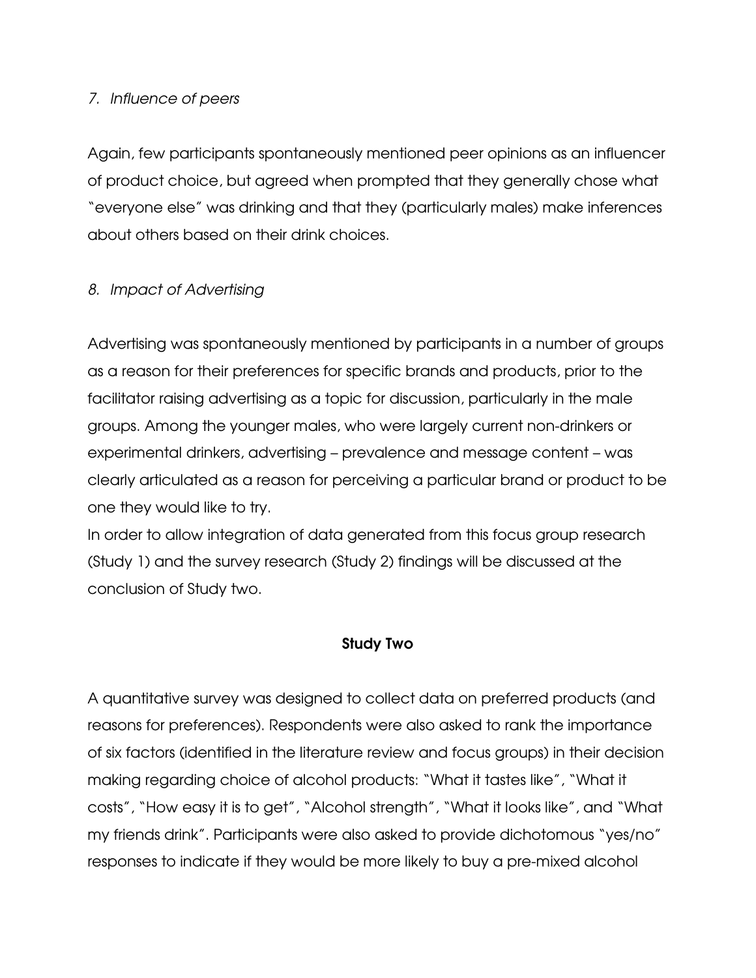## 7. Influence of peers

Again, few participants spontaneously mentioned peer opinions as an influencer of product choice, but agreed when prompted that they generally chose what "everyone else" was drinking and that they (particularly males) make inferences about others based on their drink choices.

# 8. Impact of Advertising

Advertising was spontaneously mentioned by participants in a number of groups as a reason for their preferences for specific brands and products, prior to the facilitator raising advertising as a topic for discussion, particularly in the male groups. Among the younger males, who were largely current non-drinkers or experimental drinkers, advertising – prevalence and message content – was clearly articulated as a reason for perceiving a particular brand or product to be one they would like to try.

In order to allow integration of data generated from this focus group research (Study 1) and the survey research (Study 2) findings will be discussed at the conclusion of Study two.

## Study Two

A quantitative survey was designed to collect data on preferred products (and reasons for preferences). Respondents were also asked to rank the importance of six factors (identified in the literature review and focus groups) in their decision making regarding choice of alcohol products: "What it tastes like", "What it costs", "How easy it is to get", "Alcohol strength", "What it looks like", and "What my friends drink". Participants were also asked to provide dichotomous "yes/no" responses to indicate if they would be more likely to buy a pre-mixed alcohol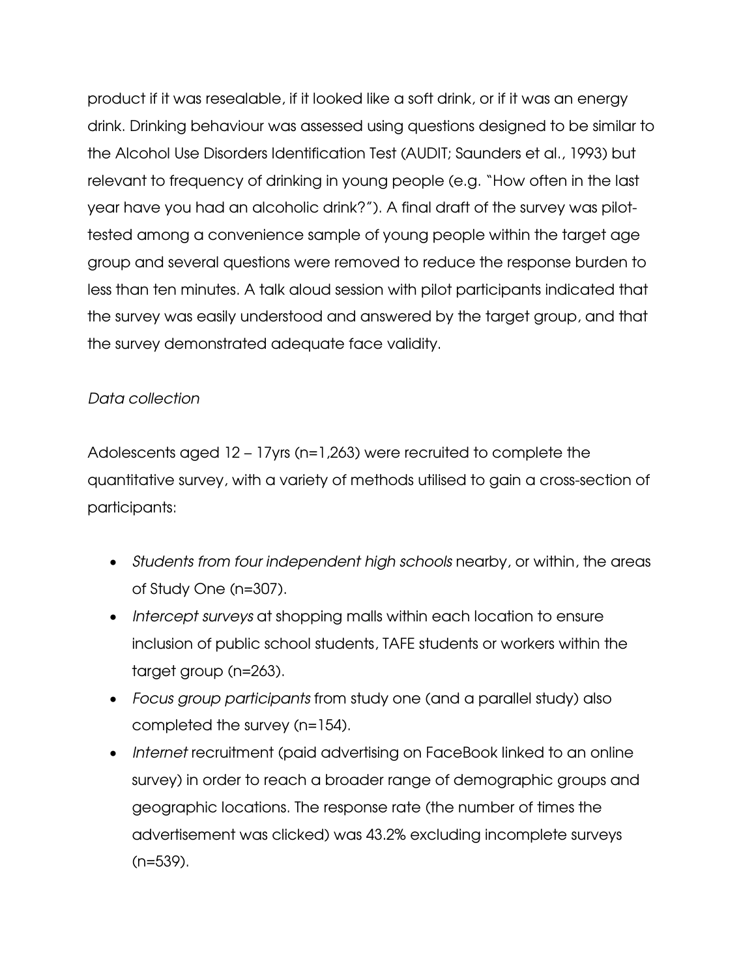product if it was resealable, if it looked like a soft drink, or if it was an energy drink. Drinking behaviour was assessed using questions designed to be similar to the Alcohol Use Disorders Identification Test (AUDIT; Saunders et al., 1993) but relevant to frequency of drinking in young people (e.g. "How often in the last year have you had an alcoholic drink?"). A final draft of the survey was pilottested among a convenience sample of young people within the target age group and several questions were removed to reduce the response burden to less than ten minutes. A talk aloud session with pilot participants indicated that the survey was easily understood and answered by the target group, and that the survey demonstrated adequate face validity.

# Data collection

Adolescents aged 12 – 17yrs (n=1,263) were recruited to complete the quantitative survey, with a variety of methods utilised to gain a cross-section of participants:

- Students from four independent high schools nearby, or within, the areas of Study One (n=307).
- Intercept surveys at shopping malls within each location to ensure inclusion of public school students, TAFE students or workers within the target group (n=263).
- Focus group participants from study one (and a parallel study) also completed the survey (n=154).
- Internet recruitment (paid advertising on FaceBook linked to an online survey) in order to reach a broader range of demographic groups and geographic locations. The response rate (the number of times the advertisement was clicked) was 43.2% excluding incomplete surveys (n=539).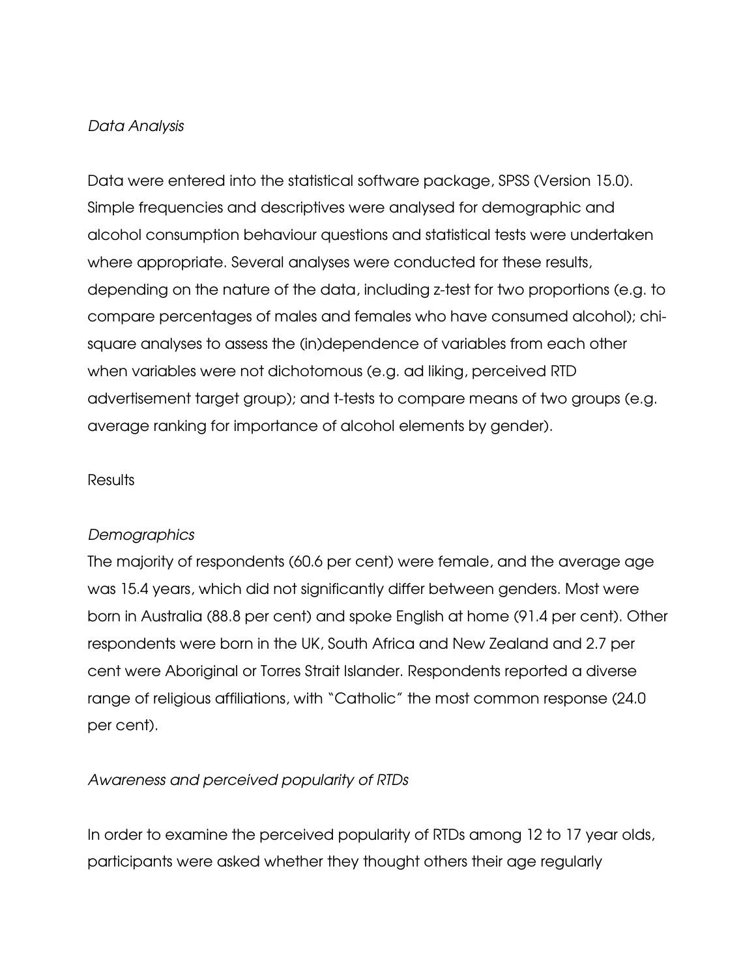## Data Analysis

Data were entered into the statistical software package, SPSS (Version 15.0). Simple frequencies and descriptives were analysed for demographic and alcohol consumption behaviour questions and statistical tests were undertaken where appropriate. Several analyses were conducted for these results, depending on the nature of the data, including z-test for two proportions (e.g. to compare percentages of males and females who have consumed alcohol); chisquare analyses to assess the (in)dependence of variables from each other when variables were not dichotomous (e.g. ad liking, perceived RTD advertisement target group); and t-tests to compare means of two groups (e.g. average ranking for importance of alcohol elements by gender).

## Results

## **Demographics**

The majority of respondents (60.6 per cent) were female, and the average age was 15.4 years, which did not significantly differ between genders. Most were born in Australia (88.8 per cent) and spoke English at home (91.4 per cent). Other respondents were born in the UK, South Africa and New Zealand and 2.7 per cent were Aboriginal or Torres Strait Islander. Respondents reported a diverse range of religious affiliations, with "Catholic" the most common response (24.0 per cent).

# Awareness and perceived popularity of RTDs

In order to examine the perceived popularity of RTDs among 12 to 17 year olds, participants were asked whether they thought others their age regularly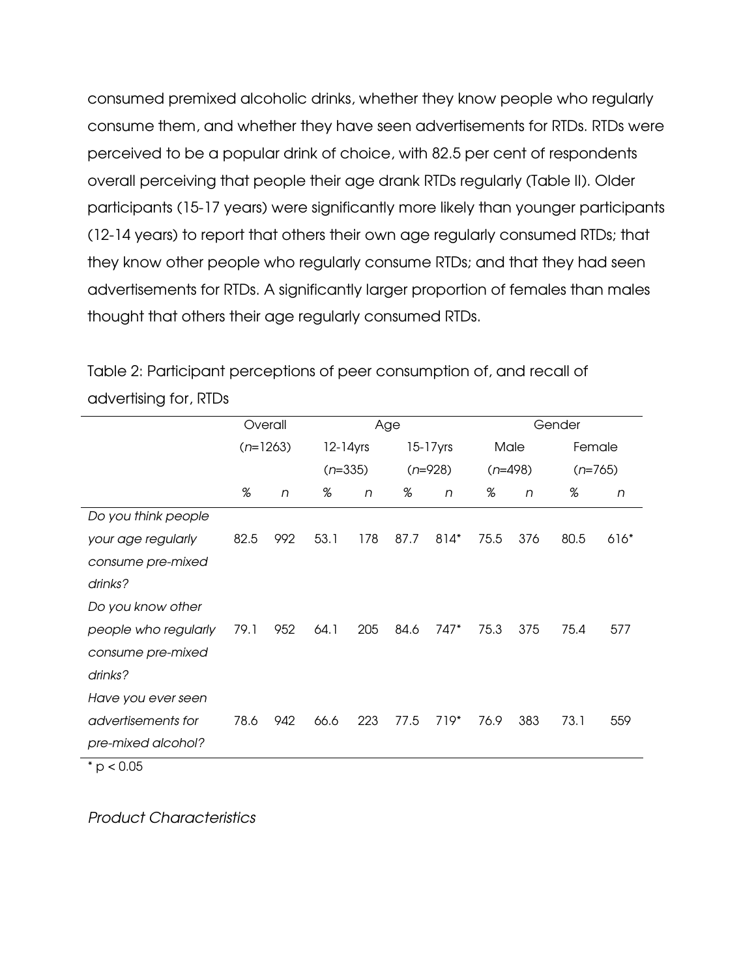consumed premixed alcoholic drinks, whether they know people who regularly consume them, and whether they have seen advertisements for RTDs. RTDs were perceived to be a popular drink of choice, with 82.5 per cent of respondents overall perceiving that people their age drank RTDs regularly (Table II). Older participants (15-17 years) were significantly more likely than younger participants (12-14 years) to report that others their own age regularly consumed RTDs; that they know other people who regularly consume RTDs; and that they had seen advertisements for RTDs. A significantly larger proportion of females than males thought that others their age regularly consumed RTDs.

Table 2: Participant perceptions of peer consumption of, and recall of advertising for, RTDs

|                      | Overall    |     | Age           |     |             | Gender    |      |           |           |        |
|----------------------|------------|-----|---------------|-----|-------------|-----------|------|-----------|-----------|--------|
|                      | $(n=1263)$ |     | $12 - 14$ yrs |     | $15-17$ yrs |           | Male |           | Female    |        |
|                      |            |     | $(n=335)$     |     |             | $(n=928)$ |      | $(n=498)$ | $(n=765)$ |        |
|                      | %          | n   | %             | n   | %           | n         | %    | n         | %         | n      |
| Do you think people  |            |     |               |     |             |           |      |           |           |        |
| your age regularly   | 82.5       | 992 | 53.1          | 178 | 87.7        | 814*      | 75.5 | 376       | 80.5      | $616*$ |
| consume pre-mixed    |            |     |               |     |             |           |      |           |           |        |
| drinks?              |            |     |               |     |             |           |      |           |           |        |
| Do you know other    |            |     |               |     |             |           |      |           |           |        |
| people who regularly | 79.1       | 952 | 64.1          | 205 | 84.6        | 747*      | 75.3 | 375       | 75.4      | 577    |
| consume pre-mixed    |            |     |               |     |             |           |      |           |           |        |
| drinks?              |            |     |               |     |             |           |      |           |           |        |
| Have you ever seen   |            |     |               |     |             |           |      |           |           |        |
| advertisements for   | 78.6       | 942 | 66.6          | 223 | 77.5        | $719*$    | 76.9 | 383       | 73.1      | 559    |
| pre-mixed alcohol?   |            |     |               |     |             |           |      |           |           |        |
| $*$ p < 0.05         |            |     |               |     |             |           |      |           |           |        |

Product Characteristics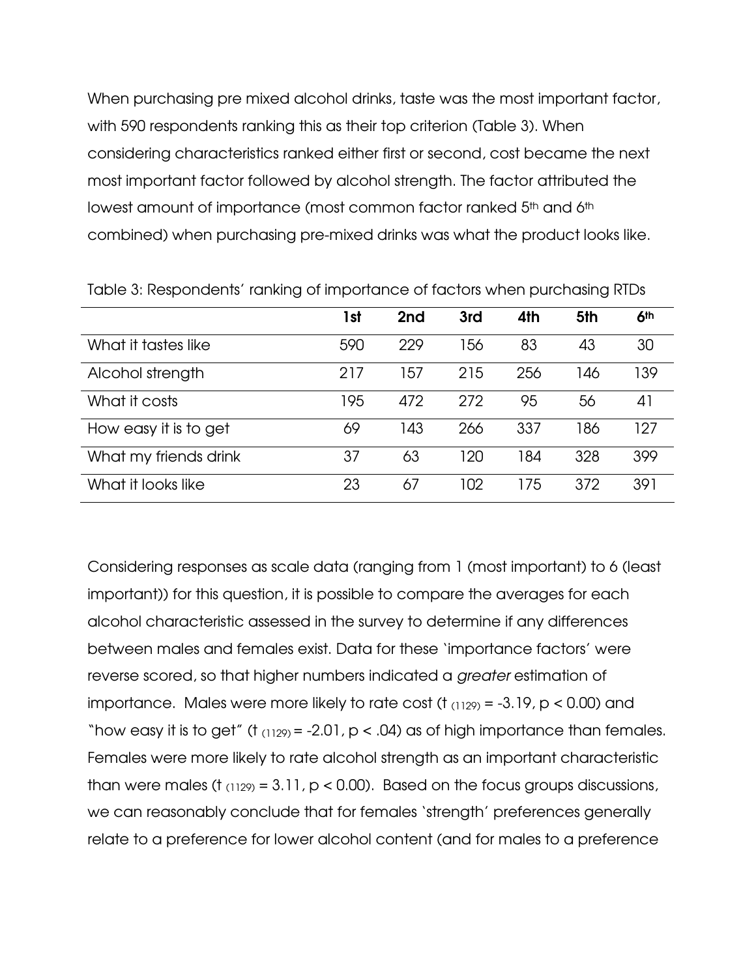When purchasing pre mixed alcohol drinks, taste was the most important factor, with 590 respondents ranking this as their top criterion (Table 3). When considering characteristics ranked either first or second, cost became the next most important factor followed by alcohol strength. The factor attributed the lowest amount of importance (most common factor ranked 5<sup>th</sup> and 6<sup>th</sup> combined) when purchasing pre-mixed drinks was what the product looks like.

|                       | 1st | 2nd | 3rd | 4th | 5th | 6 <sup>th</sup> |
|-----------------------|-----|-----|-----|-----|-----|-----------------|
| What it tastes like   | 590 | 229 | 156 | 83  | 43  | 30              |
| Alcohol strength      | 217 | 157 | 215 | 256 | 146 | 139             |
| What it costs         | 195 | 472 | 272 | 95  | 56  | 41              |
| How easy it is to get | 69  | 143 | 266 | 337 | 186 | 127             |
| What my friends drink | 37  | 63  | 120 | 184 | 328 | 399             |
| What it looks like    | 23  | 67  | 102 | 175 | 372 | 391             |

Table 3: Respondents' ranking of importance of factors when purchasing RTDs

Considering responses as scale data (ranging from 1 (most important) to 6 (least important)) for this question, it is possible to compare the averages for each alcohol characteristic assessed in the survey to determine if any differences between males and females exist. Data for these 'importance factors' were reverse scored, so that higher numbers indicated a greater estimation of importance. Males were more likely to rate cost (t  $_{(1129)} = -3.19$ , p < 0.00) and "how easy it is to get" (t  $_{(1129)} = -2.01$ , p < .04) as of high importance than females. Females were more likely to rate alcohol strength as an important characteristic than were males (t  $_{(1129)} = 3.11$ , p < 0.00). Based on the focus groups discussions, we can reasonably conclude that for females 'strength' preferences generally relate to a preference for lower alcohol content (and for males to a preference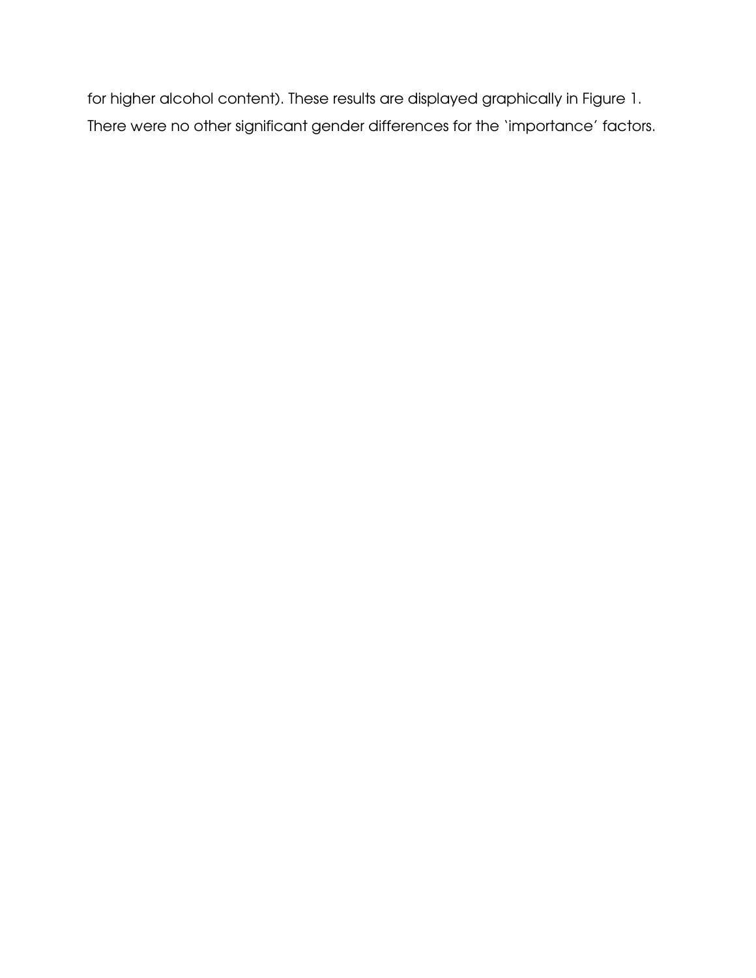for higher alcohol content). These results are displayed graphically in Figure 1. There were no other significant gender differences for the 'importance' factors.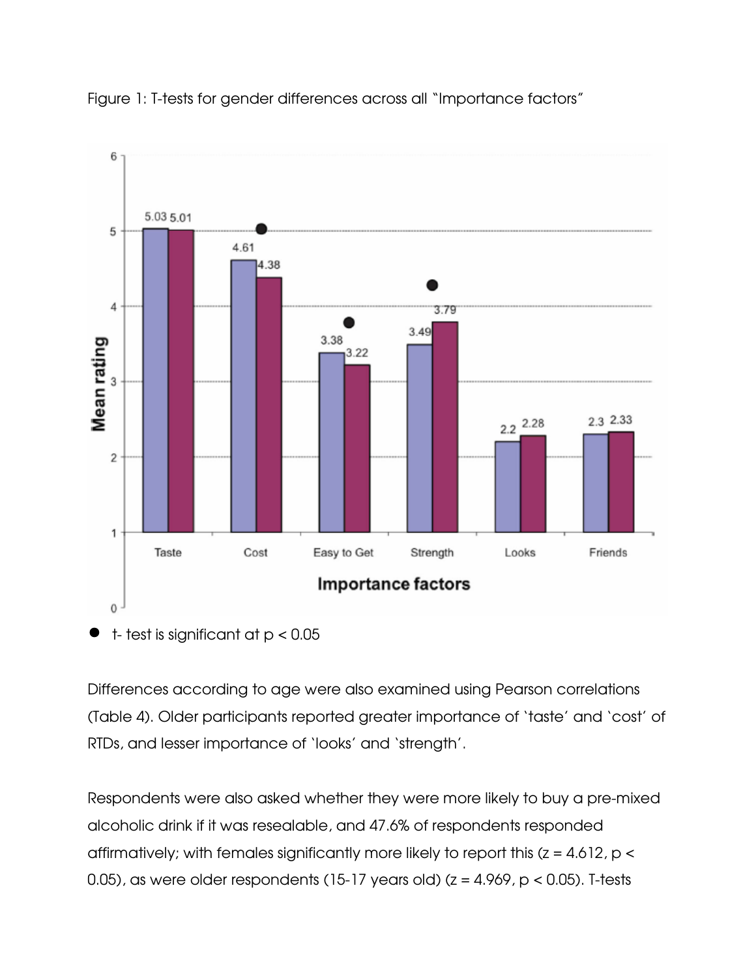



Differences according to age were also examined using Pearson correlations (Table 4). Older participants reported greater importance of 'taste' and 'cost' of RTDs, and lesser importance of 'looks' and 'strength'.

Respondents were also asked whether they were more likely to buy a pre-mixed alcoholic drink if it was resealable, and 47.6% of respondents responded affirmatively; with females significantly more likely to report this  $(z = 4.612, p <$ 0.05), as were older respondents (15-17 years old) ( $z = 4.969$ ,  $p < 0.05$ ). T-tests

t- test is significant at p < 0.05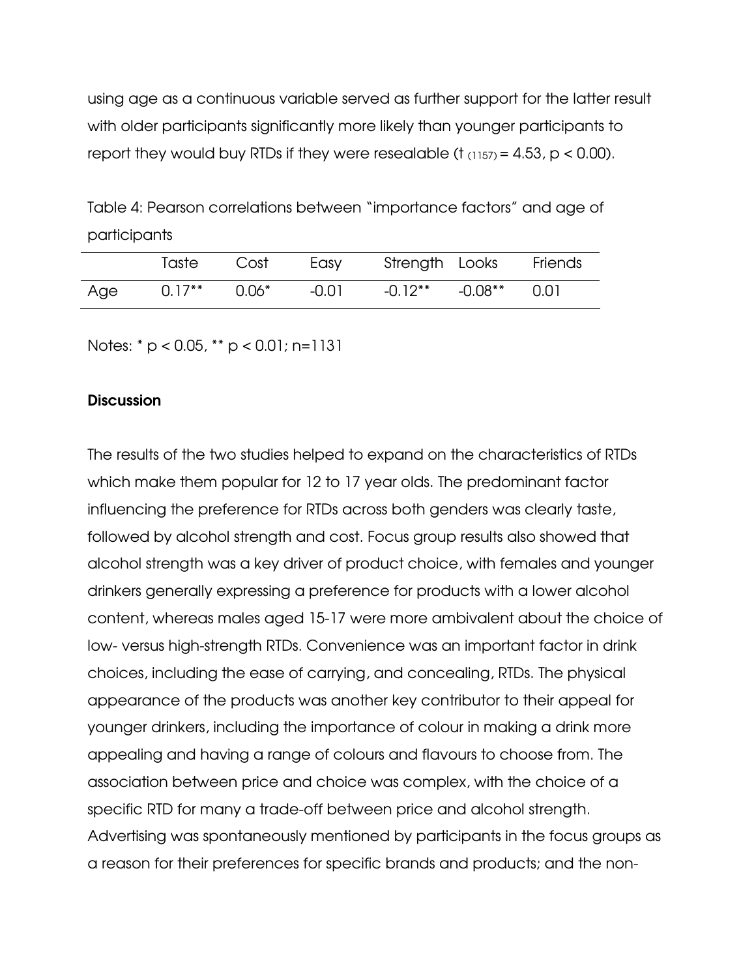using age as a continuous variable served as further support for the latter result with older participants significantly more likely than younger participants to report they would buy RTDs if they were resealable ( $t_{(1157)} = 4.53$ ,  $p < 0.00$ ).

Table 4: Pearson correlations between "importance factors" and age of participants

|     | Taste     | Cost     | Easy  | Strength Looks Friends     |  |
|-----|-----------|----------|-------|----------------------------|--|
| Age | $0.17***$ | $0.06^*$ | -0.01 | $-0.12$ ** $-0.08$ ** 0.01 |  |

Notes: \* p < 0.05, \*\* p < 0.01; n=1131

#### **Discussion**

The results of the two studies helped to expand on the characteristics of RTDs which make them popular for 12 to 17 year olds. The predominant factor influencing the preference for RTDs across both genders was clearly taste, followed by alcohol strength and cost. Focus group results also showed that alcohol strength was a key driver of product choice, with females and younger drinkers generally expressing a preference for products with a lower alcohol content, whereas males aged 15-17 were more ambivalent about the choice of low- versus high-strength RTDs. Convenience was an important factor in drink choices, including the ease of carrying, and concealing, RTDs. The physical appearance of the products was another key contributor to their appeal for younger drinkers, including the importance of colour in making a drink more appealing and having a range of colours and flavours to choose from. The association between price and choice was complex, with the choice of a specific RTD for many a trade-off between price and alcohol strength. Advertising was spontaneously mentioned by participants in the focus groups as a reason for their preferences for specific brands and products; and the non-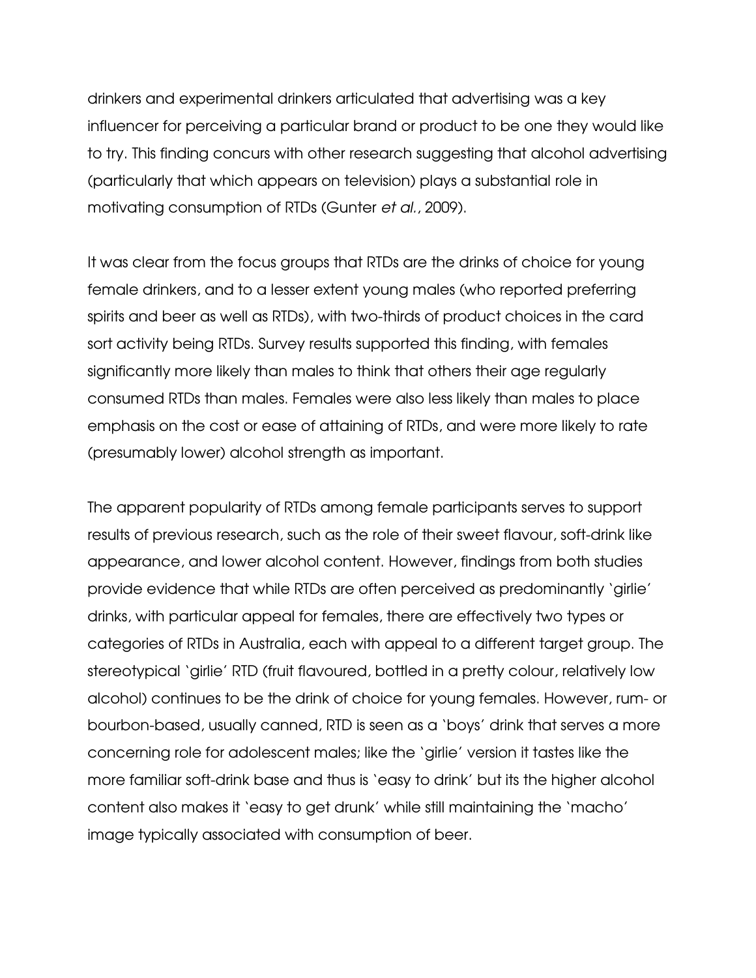drinkers and experimental drinkers articulated that advertising was a key influencer for perceiving a particular brand or product to be one they would like to try. This finding concurs with other research suggesting that alcohol advertising (particularly that which appears on television) plays a substantial role in motivating consumption of RTDs (Gunter et al., 2009).

It was clear from the focus groups that RTDs are the drinks of choice for young female drinkers, and to a lesser extent young males (who reported preferring spirits and beer as well as RTDs), with two-thirds of product choices in the card sort activity being RTDs. Survey results supported this finding, with females significantly more likely than males to think that others their age regularly consumed RTDs than males. Females were also less likely than males to place emphasis on the cost or ease of attaining of RTDs, and were more likely to rate (presumably lower) alcohol strength as important.

The apparent popularity of RTDs among female participants serves to support results of previous research, such as the role of their sweet flavour, soft-drink like appearance, and lower alcohol content. However, findings from both studies provide evidence that while RTDs are often perceived as predominantly 'girlie' drinks, with particular appeal for females, there are effectively two types or categories of RTDs in Australia, each with appeal to a different target group. The stereotypical 'girlie' RTD (fruit flavoured, bottled in a pretty colour, relatively low alcohol) continues to be the drink of choice for young females. However, rum- or bourbon-based, usually canned, RTD is seen as a 'boys' drink that serves a more concerning role for adolescent males; like the 'girlie' version it tastes like the more familiar soft-drink base and thus is 'easy to drink' but its the higher alcohol content also makes it 'easy to get drunk' while still maintaining the 'macho' image typically associated with consumption of beer.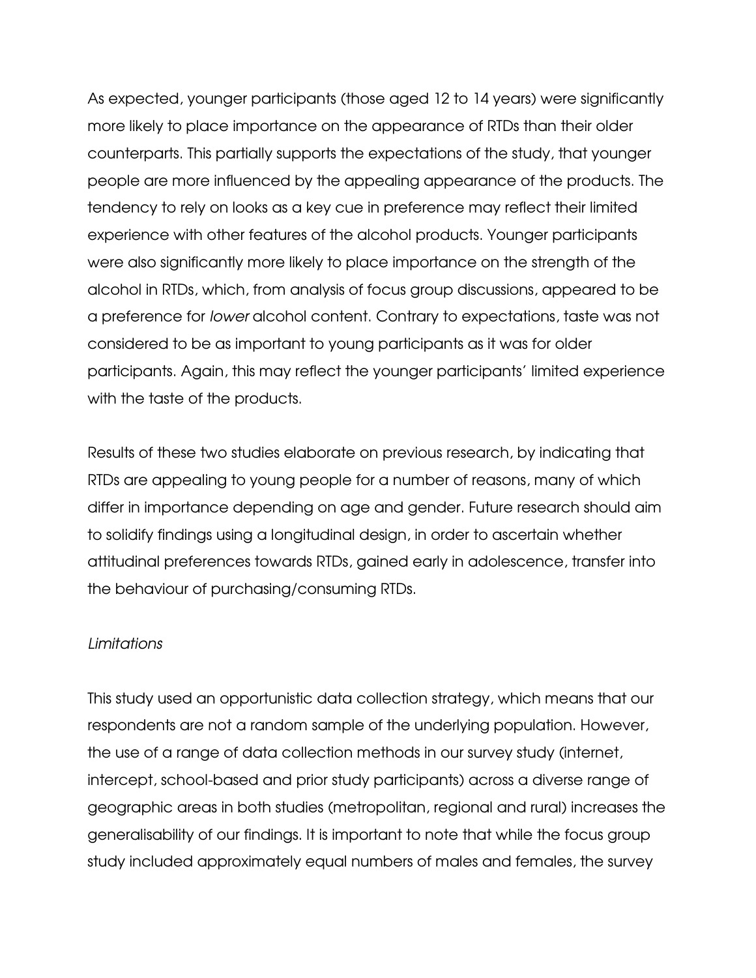As expected, younger participants (those aged 12 to 14 years) were significantly more likely to place importance on the appearance of RTDs than their older counterparts. This partially supports the expectations of the study, that younger people are more influenced by the appealing appearance of the products. The tendency to rely on looks as a key cue in preference may reflect their limited experience with other features of the alcohol products. Younger participants were also significantly more likely to place importance on the strength of the alcohol in RTDs, which, from analysis of focus group discussions, appeared to be a preference for lower alcohol content. Contrary to expectations, taste was not considered to be as important to young participants as it was for older participants. Again, this may reflect the younger participants' limited experience with the taste of the products.

Results of these two studies elaborate on previous research, by indicating that RTDs are appealing to young people for a number of reasons, many of which differ in importance depending on age and gender. Future research should aim to solidify findings using a longitudinal design, in order to ascertain whether attitudinal preferences towards RTDs, gained early in adolescence, transfer into the behaviour of purchasing/consuming RTDs.

## Limitations

This study used an opportunistic data collection strategy, which means that our respondents are not a random sample of the underlying population. However, the use of a range of data collection methods in our survey study (internet, intercept, school-based and prior study participants) across a diverse range of geographic areas in both studies (metropolitan, regional and rural) increases the generalisability of our findings. It is important to note that while the focus group study included approximately equal numbers of males and females, the survey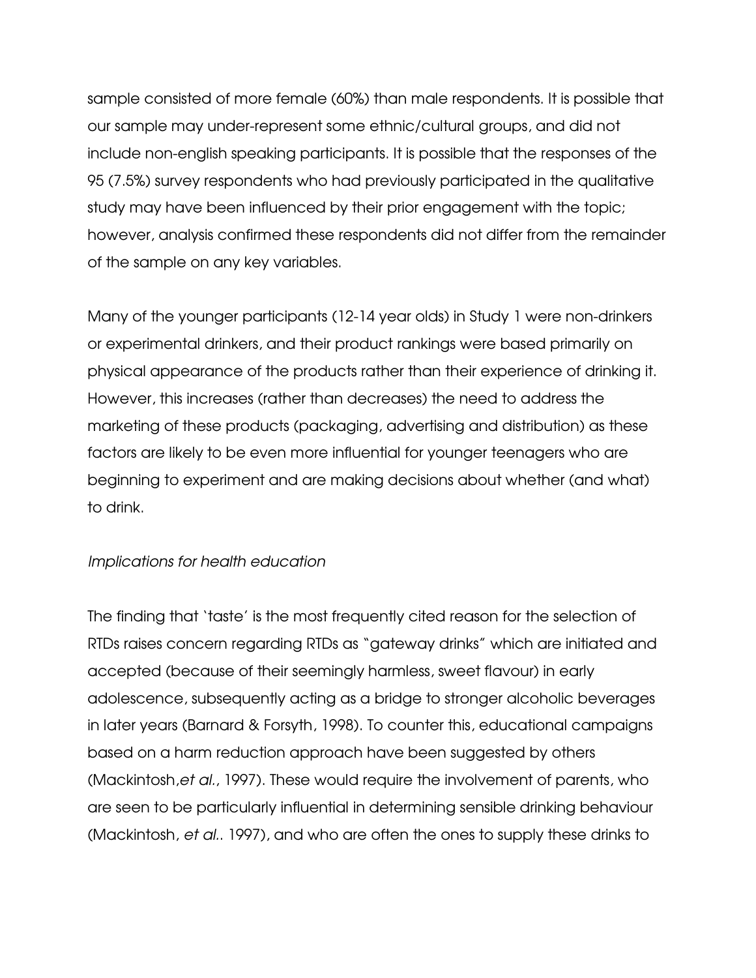sample consisted of more female (60%) than male respondents. It is possible that our sample may under-represent some ethnic/cultural groups, and did not include non-english speaking participants. It is possible that the responses of the 95 (7.5%) survey respondents who had previously participated in the qualitative study may have been influenced by their prior engagement with the topic; however, analysis confirmed these respondents did not differ from the remainder of the sample on any key variables.

Many of the younger participants (12-14 year olds) in Study 1 were non-drinkers or experimental drinkers, and their product rankings were based primarily on physical appearance of the products rather than their experience of drinking it. However, this increases (rather than decreases) the need to address the marketing of these products (packaging, advertising and distribution) as these factors are likely to be even more influential for younger teenagers who are beginning to experiment and are making decisions about whether (and what) to drink.

# Implications for health education

The finding that 'taste' is the most frequently cited reason for the selection of RTDs raises concern regarding RTDs as "gateway drinks" which are initiated and accepted (because of their seemingly harmless, sweet flavour) in early adolescence, subsequently acting as a bridge to stronger alcoholic beverages in later years (Barnard & Forsyth, 1998). To counter this, educational campaigns based on a harm reduction approach have been suggested by others (Mackintosh,et al., 1997). These would require the involvement of parents, who are seen to be particularly influential in determining sensible drinking behaviour (Mackintosh, et al.. 1997), and who are often the ones to supply these drinks to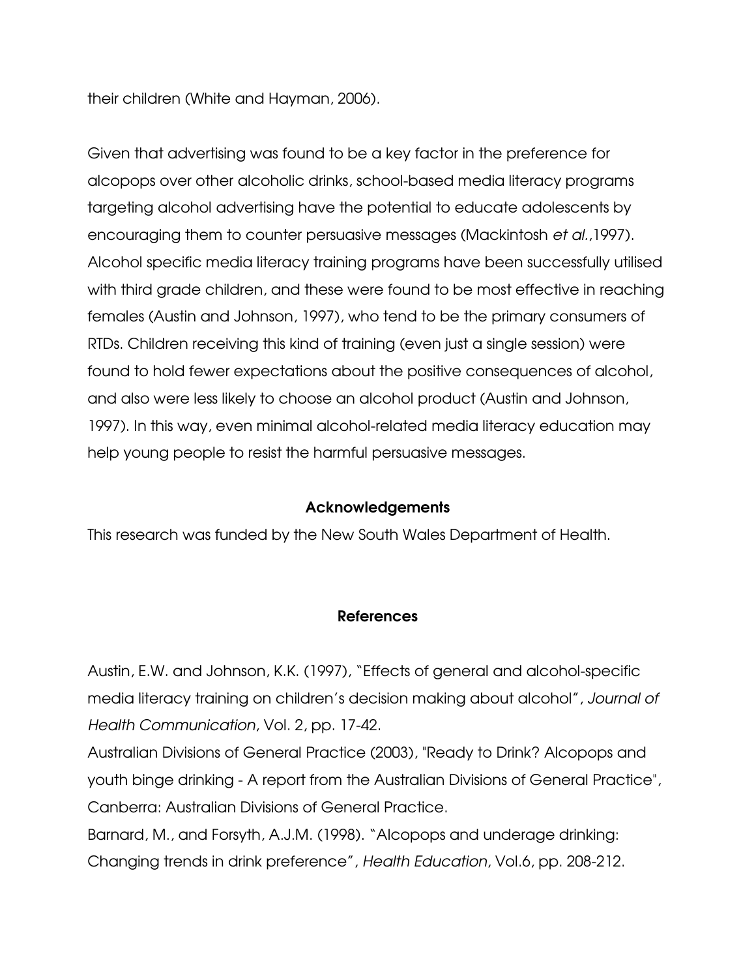their children (White and Hayman, 2006).

Given that advertising was found to be a key factor in the preference for alcopops over other alcoholic drinks, school-based media literacy programs targeting alcohol advertising have the potential to educate adolescents by encouraging them to counter persuasive messages (Mackintosh et al.,1997). Alcohol specific media literacy training programs have been successfully utilised with third grade children, and these were found to be most effective in reaching females (Austin and Johnson, 1997), who tend to be the primary consumers of RTDs. Children receiving this kind of training (even just a single session) were found to hold fewer expectations about the positive consequences of alcohol, and also were less likely to choose an alcohol product (Austin and Johnson, 1997). In this way, even minimal alcohol-related media literacy education may help young people to resist the harmful persuasive messages.

# Acknowledgements

This research was funded by the New South Wales Department of Health.

# References

Austin, E.W. and Johnson, K.K. (1997), "Effects of general and alcohol-specific media literacy training on children's decision making about alcohol", Journal of Health Communication, Vol. 2, pp. 17-42.

Australian Divisions of General Practice (2003), "Ready to Drink? Alcopops and youth binge drinking - A report from the Australian Divisions of General Practice", Canberra: Australian Divisions of General Practice.

Barnard, M., and Forsyth, A.J.M. (1998). "Alcopops and underage drinking: Changing trends in drink preference", Health Education, Vol.6, pp. 208-212.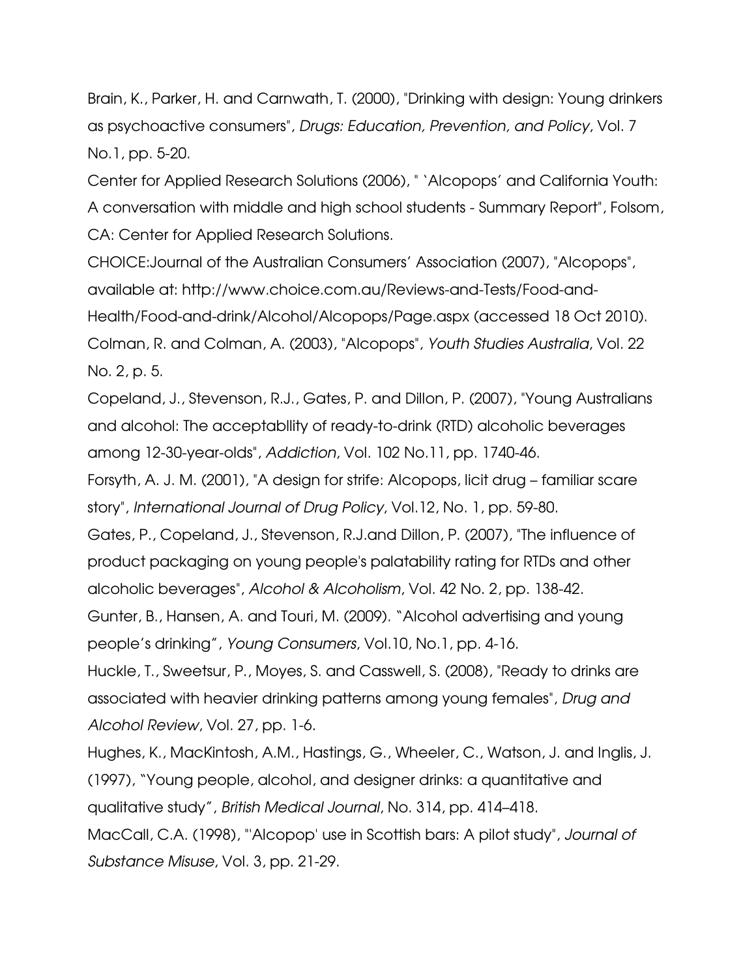Brain, K., Parker, H. and Carnwath, T. (2000), "Drinking with design: Young drinkers as psychoactive consumers", Drugs: Education, Prevention, and Policy, Vol. 7 No.1, pp. 5-20.

Center for Applied Research Solutions (2006), " 'Alcopops' and California Youth: A conversation with middle and high school students - Summary Report", Folsom, CA: Center for Applied Research Solutions.

CHOICE:Journal of the Australian Consumers' Association (2007), "Alcopops", available at: http://www.choice.com.au/Reviews-and-Tests/Food-and-Health/Food-and-drink/Alcohol/Alcopops/Page.aspx (accessed 18 Oct 2010). Colman, R. and Colman, A. (2003), "Alcopops", Youth Studies Australia, Vol. 22 No. 2, p. 5.

Copeland, J., Stevenson, R.J., Gates, P. and Dillon, P. (2007), "Young Australians and alcohol: The acceptabllity of ready-to-drink (RTD) alcoholic beverages among 12-30-year-olds", Addiction, Vol. 102 No.11, pp. 1740-46.

Forsyth, A. J. M. (2001), "A design for strife: Alcopops, licit drug – familiar scare story", International Journal of Drug Policy, Vol.12, No. 1, pp. 59-80.

Gates, P., Copeland, J., Stevenson, R.J.and Dillon, P. (2007), "The influence of product packaging on young people's palatability rating for RTDs and other alcoholic beverages", Alcohol & Alcoholism, Vol. 42 No. 2, pp. 138-42.

Gunter, B., Hansen, A. and Touri, M. (2009). "Alcohol advertising and young people's drinking", Young Consumers, Vol.10, No.1, pp. 4-16.

Huckle, T., Sweetsur, P., Moyes, S. and Casswell, S. (2008), "Ready to drinks are associated with heavier drinking patterns among young females", Drug and Alcohol Review, Vol. 27, pp. 1-6.

Hughes, K., MacKintosh, A.M., Hastings, G., Wheeler, C., Watson, J. and Inglis, J. (1997), "Young people, alcohol, and designer drinks: a quantitative and qualitative study", British Medical Journal, No. 314, pp. 414–418.

MacCall, C.A. (1998), "'Alcopop' use in Scottish bars: A pilot study", Journal of Substance Misuse, Vol. 3, pp. 21-29.